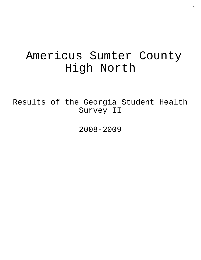# Americus Sumter County High North

Results of the Georgia Student Health Survey II

2008-2009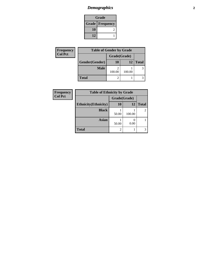# *Demographics* **2**

| Grade                    |  |  |
|--------------------------|--|--|
| <b>Grade   Frequency</b> |  |  |
| 10                       |  |  |
| 12                       |  |  |

| Frequency      | <b>Table of Gender by Grade</b> |              |                 |              |
|----------------|---------------------------------|--------------|-----------------|--------------|
| <b>Col Pct</b> |                                 | Grade(Grade) |                 |              |
|                | Gender(Gender)                  | 10           | 12 <sub>1</sub> | <b>Total</b> |
|                | <b>Male</b>                     | 100.00       | 100.00          | 3            |
|                | <b>Total</b>                    |              |                 |              |

| Frequency      | <b>Table of Ethnicity by Grade</b> |                |           |                |
|----------------|------------------------------------|----------------|-----------|----------------|
| <b>Col Pct</b> |                                    | Grade(Grade)   |           |                |
|                | <b>Ethnicity</b> (Ethnicity)       | <b>10</b>      | <b>12</b> | <b>Total</b>   |
|                | <b>Black</b>                       | 50.00          | 100.00    | $\overline{c}$ |
|                | <b>Asian</b>                       | 50.00          | 0.00      |                |
|                | <b>Total</b>                       | $\mathfrak{D}$ |           | 3              |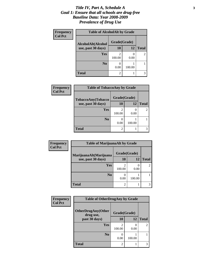#### *Title IV, Part A, Schedule A* **3** *Goal 1: Ensure that all schools are drug-free Baseline Data: Year 2008-2009 Prevalence of Drug Use*

| Frequency<br><b>Col Pct</b> | <b>Table of AlcoholAlt by Grade</b> |              |        |                |  |
|-----------------------------|-------------------------------------|--------------|--------|----------------|--|
|                             | AlcoholAlt(Alcohol                  | Grade(Grade) |        |                |  |
|                             | use, past 30 days)                  | 10           | 12     | <b>Total</b>   |  |
|                             | <b>Yes</b>                          | 2<br>100.00  | 0.00   | $\mathfrak{D}$ |  |
|                             | N <sub>0</sub>                      | 0.00         | 100.00 |                |  |
|                             | <b>Total</b>                        | 2            |        |                |  |

| Frequency<br><b>Col Pct</b> | <b>Table of TobaccoAny by Grade</b> |                |        |                |  |
|-----------------------------|-------------------------------------|----------------|--------|----------------|--|
|                             | TobaccoAny(Tobacco                  | Grade(Grade)   |        |                |  |
|                             | use, past 30 days)                  | 10             | 12     | <b>Total</b>   |  |
|                             | <b>Yes</b>                          | 2<br>100.00    | 0.00   | $\overline{c}$ |  |
|                             | N <sub>0</sub>                      | 0.00           | 100.00 |                |  |
|                             | <b>Total</b>                        | $\mathfrak{D}$ |        |                |  |

| Frequency      | <b>Table of MarijuanaAlt by Grade</b> |                          |        |                |
|----------------|---------------------------------------|--------------------------|--------|----------------|
| <b>Col Pct</b> | MarijuanaAlt(Marijuana                | Grade(Grade)             |        |                |
|                | use, past 30 days)                    | 10                       | 12     | <b>Total</b>   |
|                | <b>Yes</b>                            | $\mathfrak{D}$<br>100.00 | 0.00   | $\mathfrak{D}$ |
|                | N <sub>0</sub>                        | 0.00                     | 100.00 |                |
|                | <b>Total</b>                          | 2                        |        | 3              |

| Frequency      | <b>Table of OtherDrugAny by Grade</b>  |                |           |                |  |
|----------------|----------------------------------------|----------------|-----------|----------------|--|
| <b>Col Pct</b> | <b>OtherDrugAny(Other</b><br>drug use, | Grade(Grade)   |           |                |  |
|                | past 30 days)                          | <b>10</b>      | 12        | <b>Total</b>   |  |
|                | Yes                                    | 100.00         | 0<br>0.00 | $\overline{c}$ |  |
|                | N <sub>0</sub>                         | 0.00           | 100.00    |                |  |
|                | <b>Total</b>                           | $\mathfrak{D}$ |           | 3              |  |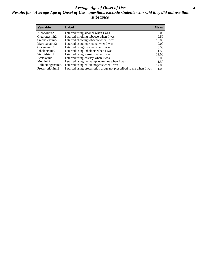#### *Average Age of Onset of Use* **4** *Results for "Average Age of Onset of Use" questions exclude students who said they did not use that substance*

| <b>Variable</b>    | Label                                                              | <b>Mean</b> |
|--------------------|--------------------------------------------------------------------|-------------|
| Alcoholinit2       | I started using alcohol when I was                                 | 8.00        |
| Cigarettesinit2    | I started smoking tobacco when I was                               | 9.50        |
| Smokelessinit2     | I started chewing tobacco when I was                               | 10.00       |
| Marijuanainit2     | I started using marijuana when I was                               | 9.00        |
| Cocaineinit2       | I started using cocaine when I was                                 | 8.50        |
| Inhalantsinit2     | I started using inhalants when I was                               | 11.50       |
| Steroidsinit2      | I started using steroids when I was                                | 12.00       |
| Ecstasyinit2       | I started using ecstasy when I was                                 | 12.00       |
| Methinit2          | I started using methamphetamines when I was                        | 11.50       |
| Hallucinogensinit2 | I started using hallucinogens when I was                           | 12.00       |
| Prescriptioninit2  | I started using prescription drugs not prescribed to me when I was | 11.00       |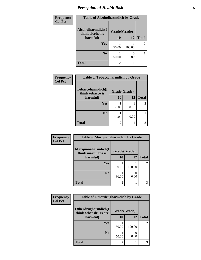# *Perception of Health Risk* **5**

| Frequency      | <b>Table of Alcoholharmdich by Grade</b> |              |        |                |
|----------------|------------------------------------------|--------------|--------|----------------|
| <b>Col Pct</b> | Alcoholharmdich(I<br>think alcohol is    | Grade(Grade) |        |                |
|                | harmful)                                 | <b>10</b>    | 12     | <b>Total</b>   |
|                | Yes                                      | 50.00        | 100.00 | $\overline{2}$ |
|                | N <sub>0</sub>                           | 50.00        | 0.00   |                |
|                | <b>Total</b>                             | 2            |        | 3              |

| Frequency      | <b>Table of Tobaccoharmdich by Grade</b> |                |        |               |
|----------------|------------------------------------------|----------------|--------|---------------|
| <b>Col Pct</b> | Tobaccoharmdich(I<br>think tobacco is    | Grade(Grade)   |        |               |
|                | harmful)                                 | 10             | 12     | <b>Total</b>  |
|                | Yes                                      | 50.00          | 100.00 | $\mathcal{L}$ |
|                | N <sub>0</sub>                           | 50.00          | 0.00   |               |
|                | <b>Total</b>                             | $\mathfrak{D}$ |        |               |

| Frequency      | <b>Table of Marijuanaharmdich by Grade</b> |                             |        |              |
|----------------|--------------------------------------------|-----------------------------|--------|--------------|
| <b>Col Pct</b> | Marijuanaharmdich(I<br>think marijuana is  | Grade(Grade)                |        |              |
|                | harmful)                                   | 10                          | 12     | <b>Total</b> |
|                | Yes                                        | 50.00                       | 100.00 | 2            |
|                | N <sub>0</sub>                             | 50.00                       | 0.00   |              |
|                | <b>Total</b>                               | $\mathcal{D}_{\mathcal{A}}$ |        | 3            |

| <b>Frequency</b> | <b>Table of Otherdrugharmdich by Grade</b>   |              |        |                |  |
|------------------|----------------------------------------------|--------------|--------|----------------|--|
| <b>Col Pct</b>   | Otherdrugharmdich(I<br>think other drugs are | Grade(Grade) |        |                |  |
|                  | harmful)                                     | 10           | 12     | <b>Total</b>   |  |
|                  | <b>Yes</b>                                   | 50.00        | 100.00 | $\overline{c}$ |  |
|                  | N <sub>0</sub>                               | 50.00        | 0.00   |                |  |
|                  | <b>Total</b>                                 |              |        | 3              |  |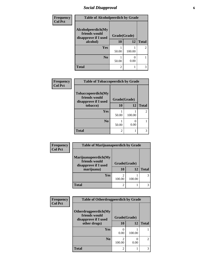### *Social Disapproval* **6**

| Frequency      | <b>Table of Alcoholpeerdich by Grade</b>                    |                |        |                |
|----------------|-------------------------------------------------------------|----------------|--------|----------------|
| <b>Col Pct</b> | Alcoholpeerdich(My<br>friends would<br>disapprove if I used | Grade(Grade)   |        |                |
|                | alcohol)                                                    | 10             | 12     | <b>Total</b>   |
|                | <b>Yes</b>                                                  | 50.00          | 100.00 | $\mathfrak{D}$ |
|                | N <sub>0</sub>                                              | 50.00          | 0.00   |                |
|                | <b>Total</b>                                                | $\mathfrak{D}$ |        | 3              |

| Frequency      | <b>Table of Tobaccopeerdich by Grade</b>                    |              |        |                |
|----------------|-------------------------------------------------------------|--------------|--------|----------------|
| <b>Col Pct</b> | Tobaccopeerdich(My<br>friends would<br>disapprove if I used | Grade(Grade) |        |                |
|                | tobacco)                                                    | 10           | 12     | <b>Total</b>   |
|                | Yes                                                         | 50.00        | 100.00 | $\mathfrak{D}$ |
|                | N <sub>0</sub>                                              | 50.00        | 0.00   |                |
|                | <b>Total</b>                                                | 2            |        | 3              |

| Frequency      | <b>Table of Marijuanapeerdich by Grade</b>                                  |                    |        |              |
|----------------|-----------------------------------------------------------------------------|--------------------|--------|--------------|
| <b>Col Pct</b> | Marijuanapeerdich(My<br>friends would<br>disapprove if I used<br>marijuana) | Grade(Grade)<br>10 | 12     | <b>Total</b> |
|                | <b>Yes</b>                                                                  | 100.00             | 100.00 |              |
|                | <b>Total</b>                                                                | $\overline{c}$     |        |              |

| Frequency      | <b>Table of Otherdrugpeerdich by Grade</b>                    |              |        |                |  |
|----------------|---------------------------------------------------------------|--------------|--------|----------------|--|
| <b>Col Pct</b> | Otherdrugpeerdich(My<br>friends would<br>disapprove if I used | Grade(Grade) |        |                |  |
|                | other drugs)                                                  | 10           | 12     | <b>Total</b>   |  |
|                | Yes                                                           | 0.00         | 100.00 |                |  |
|                | N <sub>o</sub>                                                | 100.00       | 0.00   | $\mathfrak{D}$ |  |
|                | <b>Total</b>                                                  | 2            |        | 3              |  |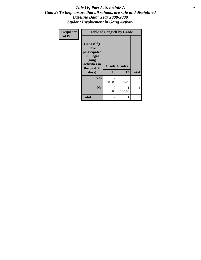#### *Title IV, Part A, Schedule A* **7** *Goal 2: To help ensure that all schools are safe and disciplined Baseline Data: Year 2008-2009 Student Involvement in Gang Activity*

| Frequency      | <b>Table of Gangself by Grade</b>                                                                 |                         |             |              |  |
|----------------|---------------------------------------------------------------------------------------------------|-------------------------|-------------|--------------|--|
| <b>Col Pct</b> | Gangself(I<br>have<br>participated<br>in illegal<br>gang<br>activities in<br>the past 30<br>days) | Grade(Grade)<br>10      | 12          | <b>Total</b> |  |
|                | Yes                                                                                               | $\mathcal{L}$<br>100.00 | 0<br>0.00   | 2            |  |
|                | N <sub>0</sub>                                                                                    | 0<br>0.00               | 1<br>100.00 | 1            |  |
|                | <b>Total</b>                                                                                      | 2                       | 1           | 3            |  |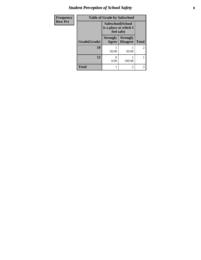# *Student Perception of School Safety* **8**

| Frequency      | <b>Table of Grade by Safeschool</b>                      |                          |                                    |                |
|----------------|----------------------------------------------------------|--------------------------|------------------------------------|----------------|
| <b>Row Pct</b> | Safeschool(School<br>is a place at which I<br>feel safe) |                          |                                    |                |
|                | Grade(Grade)                                             | <b>Strongly</b><br>Agree | <b>Strongly</b><br><b>Disagree</b> | <b>Total</b>   |
|                | 10                                                       | 50.00                    | 50.00                              | $\overline{2}$ |
|                | 12                                                       | 0.00                     | 100.00                             |                |
|                | <b>Total</b>                                             |                          | $\mathfrak{D}$                     | 3              |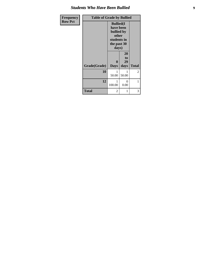#### *Students Who Have Been Bullied*

| Frequency      | <b>Table of Grade by Bullied</b> |                                                                                              |                        |                |
|----------------|----------------------------------|----------------------------------------------------------------------------------------------|------------------------|----------------|
| <b>Row Pct</b> |                                  | <b>Bullied(I)</b><br>have been<br>bullied by<br>other<br>students in<br>the past 30<br>days) |                        |                |
|                | Grade(Grade)                     | $\bf{0}$<br><b>Days</b>                                                                      | 20<br>to<br>29<br>days | <b>Total</b>   |
|                | 10                               | 1<br>50.00                                                                                   | 50.00                  | $\overline{c}$ |
|                | 12                               | 100.00                                                                                       | 0<br>0.00              | 1              |
|                | <b>Total</b>                     | 2                                                                                            | 1                      | 3              |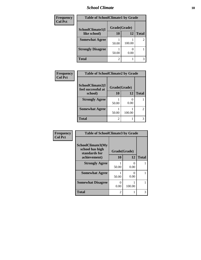#### *School Climate* **10**

| <b>Frequency</b> | <b>Table of SchoolClimate1 by Grade</b> |              |        |              |
|------------------|-----------------------------------------|--------------|--------|--------------|
| <b>Col Pct</b>   | SchoolClimate1(I                        | Grade(Grade) |        |              |
|                  | like school)                            | 10           | 12     | <b>Total</b> |
|                  | <b>Somewhat Agree</b>                   | 50.00        | 100.00 | 2            |
|                  | <b>Strongly Disagree</b>                | 50.00        | 0.00   |              |
|                  | <b>Total</b>                            | 2            |        | 3            |

| Frequency      | <b>Table of SchoolClimate2 by Grade</b> |              |        |              |
|----------------|-----------------------------------------|--------------|--------|--------------|
| <b>Col Pct</b> | SchoolClimate2(I<br>feel successful at  | Grade(Grade) |        |              |
|                | school)                                 | <b>10</b>    | 12     | <b>Total</b> |
|                | <b>Strongly Agree</b>                   |              |        |              |
|                |                                         | 50.00        | 0.00   |              |
|                | <b>Somewhat Agree</b>                   |              |        | 2            |
|                |                                         | 50.00        | 100.00 |              |
|                | <b>Total</b>                            | 2            |        | 3            |

| Frequency      | <b>Table of SchoolClimate3 by Grade</b>                      |       |                       |              |
|----------------|--------------------------------------------------------------|-------|-----------------------|--------------|
| <b>Col Pct</b> | <b>SchoolClimate3(My</b><br>school has high<br>standards for |       | Grade(Grade)          |              |
|                | achievement)                                                 | 10    | 12                    | <b>Total</b> |
|                | <b>Strongly Agree</b>                                        | 50.00 | $\mathcal{O}$<br>0.00 |              |
|                | <b>Somewhat Agree</b>                                        | 50.00 | 0<br>0.00             |              |
|                | <b>Somewhat Disagree</b>                                     | 0.00  | 100.00                |              |
|                | Total                                                        | 2     |                       | 3            |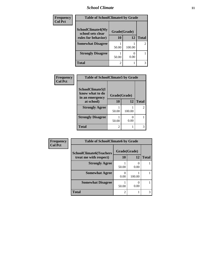### *School Climate* **11**

| Frequency      | <b>Table of SchoolClimate4 by Grade</b>       |              |        |              |
|----------------|-----------------------------------------------|--------------|--------|--------------|
| <b>Col Pct</b> | <b>SchoolClimate4(My</b><br>school sets clear | Grade(Grade) |        |              |
|                | rules for behavior)                           | 10           | 12     | <b>Total</b> |
|                | <b>Somewhat Disagree</b>                      | 50.00        | 100.00 | 2            |
|                | <b>Strongly Disagree</b>                      | 50.00        | 0.00   |              |
|                | Total                                         | 2            |        | 3            |

| Frequency      | <b>Table of SchoolClimate5 by Grade</b>                |              |                           |                |
|----------------|--------------------------------------------------------|--------------|---------------------------|----------------|
| <b>Col Pct</b> | SchoolClimate5(I<br>know what to do<br>in an emergency | Grade(Grade) |                           |                |
|                | at school)                                             | 10           | 12                        | <b>Total</b>   |
|                | <b>Strongly Agree</b>                                  | 50.00        | 100.00                    | $\mathfrak{D}$ |
|                | <b>Strongly Disagree</b>                               | 50.00        | $\mathbf{\Omega}$<br>0.00 |                |
|                | <b>Total</b>                                           | 2            |                           |                |

| Frequency      | <b>Table of SchoolClimate6 by Grade</b>                  |                    |           |              |  |
|----------------|----------------------------------------------------------|--------------------|-----------|--------------|--|
| <b>Col Pct</b> | <b>SchoolClimate6(Teachers</b><br>treat me with respect) | Grade(Grade)<br>10 | 12        | <b>Total</b> |  |
|                | <b>Strongly Agree</b>                                    | 50.00              | 0<br>0.00 |              |  |
|                | <b>Somewhat Agree</b>                                    | 0.00               | 100.00    |              |  |
|                | <b>Somewhat Disagree</b>                                 | 50.00              | 0.00      |              |  |
|                | <b>Total</b>                                             | $\overline{c}$     |           | 3            |  |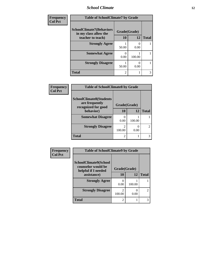### *School Climate* **12**

| Frequency      | <b>Table of SchoolClimate7 by Grade</b>                  |               |           |              |  |
|----------------|----------------------------------------------------------|---------------|-----------|--------------|--|
| <b>Col Pct</b> | <b>SchoolClimate7(Behaviors</b><br>in my class allow the | Grade(Grade)  |           |              |  |
|                | teacher to teach)                                        | 10            | <b>12</b> | <b>Total</b> |  |
|                | <b>Strongly Agree</b>                                    | 50.00         | 0.00      |              |  |
|                | <b>Somewhat Agree</b>                                    | 0.00          | 100.00    |              |  |
|                | <b>Strongly Disagree</b>                                 | 50.00         | 0.00      |              |  |
|                | <b>Total</b>                                             | $\mathcal{D}$ |           | 3            |  |

| Frequency                        | <b>Table of SchoolClimate8 by Grade</b>          |                          |              |                |  |
|----------------------------------|--------------------------------------------------|--------------------------|--------------|----------------|--|
| <b>Col Pct</b>                   | <b>SchoolClimate8(Students</b><br>are frequently |                          | Grade(Grade) |                |  |
| recognized for good<br>behavior) | 10                                               | 12                       | <b>Total</b> |                |  |
|                                  | <b>Somewhat Disagree</b>                         | 0.00                     | 100.00       |                |  |
|                                  | <b>Strongly Disagree</b>                         | $\mathfrak{D}$<br>100.00 | 0.00         | $\mathfrak{D}$ |  |
|                                  | <b>Total</b>                                     | $\mathfrak{D}$           |              | 3              |  |

| Frequency<br><b>Col Pct</b> | <b>Table of SchoolClimate9 by Grade</b>                            |              |        |                             |
|-----------------------------|--------------------------------------------------------------------|--------------|--------|-----------------------------|
|                             | SchoolClimate9(School<br>counselor would be<br>helpful if I needed | Grade(Grade) |        |                             |
|                             | assistance)                                                        | 10           | 12     | <b>Total</b>                |
|                             | <b>Strongly Agree</b>                                              | 0.00         | 100.00 |                             |
|                             | <b>Strongly Disagree</b>                                           | 100.00       | 0.00   | $\mathcal{D}_{\mathcal{L}}$ |
|                             | <b>Total</b>                                                       | 2            |        | 3                           |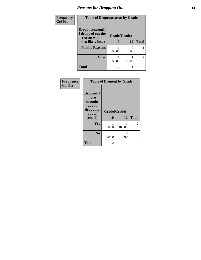### *Reasons for Dropping Out* **13**

| Frequency      | <b>Table of Dropoutreason by Grade</b> |              |        |              |
|----------------|----------------------------------------|--------------|--------|--------------|
| <b>Col Pct</b> | Dropoutreason(If<br>I dropped out the  | Grade(Grade) |        |              |
|                | reason would<br>most likely be)        | 10           | 12     | <b>Total</b> |
|                | <b>Family Reasons</b>                  | 50.00        | 0.00   |              |
|                | <b>Other</b>                           | 50.00        | 100.00 | 2            |
|                | <b>Total</b>                           | 2            |        | 3            |

| Frequency      |                                                                        | <b>Table of Dropout by Grade</b> |           |                |
|----------------|------------------------------------------------------------------------|----------------------------------|-----------|----------------|
| <b>Col Pct</b> | Dropout(I<br>have<br>thought<br>about<br>dropping<br>out of<br>school) | Grade(Grade)<br>10               | 12        | <b>Total</b>   |
|                | Yes                                                                    | 50.00                            | 100.00    | $\overline{2}$ |
|                | N <sub>0</sub>                                                         | 50.00                            | 0<br>0.00 |                |
|                | <b>Total</b>                                                           | 2                                |           | 3              |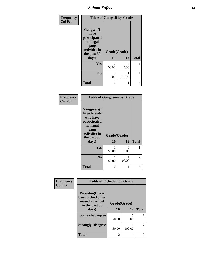*School Safety* **14**

| Frequency      | <b>Table of Gangself by Grade</b>                                                                 |                          |           |              |
|----------------|---------------------------------------------------------------------------------------------------|--------------------------|-----------|--------------|
| <b>Col Pct</b> | Gangself(I<br>have<br>participated<br>in illegal<br>gang<br>activities in<br>the past 30<br>days) | Grade(Grade)<br>10<br>12 |           | <b>Total</b> |
|                | Yes                                                                                               | $\mathcal{L}$<br>100.00  | 0<br>0.00 | 2            |
|                | N <sub>0</sub>                                                                                    | 0<br>0.00                | 100.00    | 1            |
|                | <b>Total</b>                                                                                      | 2                        | 1         | 3            |

| Frequency<br><b>Col Pct</b> | <b>Table of Gangpeers by Grade</b>                                                                                             |                    |           |              |  |
|-----------------------------|--------------------------------------------------------------------------------------------------------------------------------|--------------------|-----------|--------------|--|
|                             | <b>Gangpeers</b> (I<br>have friends<br>who have<br>participated<br>in illegal<br>gang<br>activities in<br>the past 30<br>days) | Grade(Grade)<br>10 | 12        | <b>Total</b> |  |
|                             | Yes                                                                                                                            | 50.00              | 0<br>0.00 | 1            |  |
|                             | N <sub>0</sub>                                                                                                                 | 50.00              | 100.00    | 2            |  |
|                             | <b>Total</b>                                                                                                                   | 2                  | 1         | 3            |  |

| Frequency<br><b>Col Pct</b> | <b>Table of Pickedon by Grade</b>                                                  |              |        |               |
|-----------------------------|------------------------------------------------------------------------------------|--------------|--------|---------------|
|                             | <b>Pickedon</b> (I have<br>been picked on or<br>teased at school<br>in the past 30 | Grade(Grade) |        |               |
|                             | days)                                                                              | 10           | 12     | <b>Total</b>  |
|                             | <b>Somewhat Agree</b>                                                              | 50.00        | 0.00   |               |
|                             | <b>Strongly Disagree</b>                                                           | 50.00        | 100.00 | $\mathcal{L}$ |
|                             | <b>Total</b>                                                                       | 2            |        |               |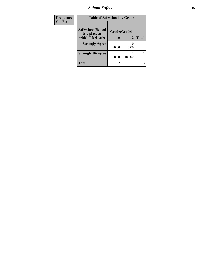*School Safety* **15**

| Frequency      | <b>Table of Safeschool by Grade</b> |              |        |              |
|----------------|-------------------------------------|--------------|--------|--------------|
| <b>Col Pct</b> | Safeschool(School                   | Grade(Grade) |        |              |
|                | is a place at<br>which I feel safe) | <b>10</b>    | 12     | <b>Total</b> |
|                | <b>Strongly Agree</b>               | 50.00        | 0.00   |              |
|                | <b>Strongly Disagree</b>            | 50.00        | 100.00 | 2            |
|                | <b>Total</b>                        | 2            |        | 3            |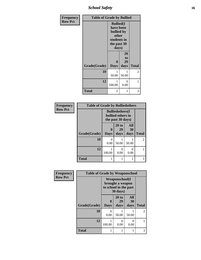*School Safety* **16**

| Frequency      | <b>Table of Grade by Bullied</b> |                                                                                             |                        |              |
|----------------|----------------------------------|---------------------------------------------------------------------------------------------|------------------------|--------------|
| <b>Row Pct</b> |                                  | <b>Bullied(I</b><br>have been<br>bullied by<br>other<br>students in<br>the past 30<br>days) |                        |              |
|                | Grade(Grade)                     | $\bf{0}$<br><b>Days</b>                                                                     | 20<br>to<br>29<br>days | <b>Total</b> |
|                | 10                               | 1<br>50.00                                                                                  | 1<br>50.00             | 2            |
|                | 12                               | 1<br>100.00                                                                                 | 0<br>0.00              | 1            |
|                | <b>Total</b>                     | 2                                                                                           | 1                      | 3            |

| Frequency      | <b>Table of Grade by Bulliedothers</b> |                                                                   |                     |                   |               |
|----------------|----------------------------------------|-------------------------------------------------------------------|---------------------|-------------------|---------------|
| <b>Row Pct</b> |                                        | <b>Bulliedothers</b> (I<br>bullied others in<br>the past 30 days) |                     |                   |               |
|                | Grade(Grade)                           | 0<br><b>Days</b>                                                  | 20 to<br>29<br>days | All<br>30<br>days | <b>Total</b>  |
|                | 10                                     | 0<br>0.00                                                         | 50.00               | 50.00             | $\mathcal{L}$ |
|                | 12                                     | 1<br>100.00                                                       | 0<br>0.00           | 0<br>0.00         |               |
|                | <b>Total</b>                           | 1                                                                 |                     |                   | 3             |

| Frequency      | <b>Table of Grade by Weaponschool</b> |                                                                                          |                     |                   |              |  |  |
|----------------|---------------------------------------|------------------------------------------------------------------------------------------|---------------------|-------------------|--------------|--|--|
| <b>Row Pct</b> |                                       | <b>Weaponschool</b> (I<br>brought a weapon<br>to school in the past<br>$30 \text{ days}$ |                     |                   |              |  |  |
|                | Grade(Grade)                          | 0<br><b>Days</b>                                                                         | 20 to<br>29<br>days | All<br>30<br>days | <b>Total</b> |  |  |
|                | 10                                    | 0<br>0.00                                                                                | 50.00               | 50.00             | 2            |  |  |
|                | 12                                    | 100.00                                                                                   | 0<br>0.00           | 0<br>0.00         |              |  |  |
|                | <b>Total</b>                          |                                                                                          |                     | 1                 | 3            |  |  |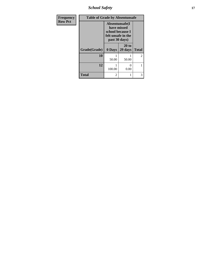*School Safety* **17**

| Frequency      | <b>Table of Grade by Absentunsafe</b> |                                                                       |                  |              |  |  |
|----------------|---------------------------------------|-----------------------------------------------------------------------|------------------|--------------|--|--|
| <b>Row Pct</b> |                                       | Absentunsafe(I)<br>have missed<br>felt unsafe in the<br>past 30 days) | school because I |              |  |  |
|                | Grade(Grade)                          | 0 Days                                                                | 20 to<br>29 days | <b>Total</b> |  |  |
|                | 10                                    | 50.00                                                                 | 50.00            | 2            |  |  |
|                | 12                                    | 100.00                                                                | 0<br>0.00        | 1            |  |  |
|                | <b>Total</b>                          | 2                                                                     | 1                | 3            |  |  |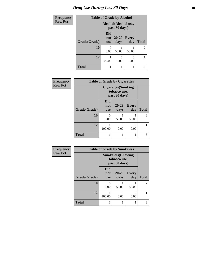### *Drug Use During Last 30 Days* **18**

| <b>Frequency</b> | <b>Table of Grade by Alcohol</b> |                                       |                   |              |                |
|------------------|----------------------------------|---------------------------------------|-------------------|--------------|----------------|
| <b>Row Pct</b>   |                                  | Alcohol(Alcohol use,<br>past 30 days) |                   |              |                |
|                  | Grade(Grade)                     | <b>Did</b><br>not<br><b>use</b>       | $20 - 29$<br>days | Every<br>day | <b>Total</b>   |
|                  | 10                               | 0<br>0.00                             | 50.00             | 50.00        | $\overline{2}$ |
|                  | 12                               | 100.00                                | ∩<br>0.00         | 0.00         |                |
|                  | <b>Total</b>                     |                                       |                   |              | 3              |

| Frequency      | <b>Table of Grade by Cigarettes</b> |                                                             |               |                     |                |  |
|----------------|-------------------------------------|-------------------------------------------------------------|---------------|---------------------|----------------|--|
| <b>Row Pct</b> |                                     | <b>Cigarettes</b> (Smoking<br>tobacco use,<br>past 30 days) |               |                     |                |  |
|                | Grade(Grade)                        | <b>Did</b><br>not<br><b>use</b>                             | 20-29<br>days | <b>Every</b><br>day | <b>Total</b>   |  |
|                | 10                                  | 0<br>0.00                                                   | 50.00         | 50.00               | $\overline{2}$ |  |
|                | 12                                  | 100.00                                                      | 0<br>0.00     | 0<br>0.00           |                |  |
|                | <b>Total</b>                        |                                                             |               |                     | 3              |  |

| Frequency      | <b>Table of Grade by Smokeless</b> |                                                            |                  |                       |                |  |  |
|----------------|------------------------------------|------------------------------------------------------------|------------------|-----------------------|----------------|--|--|
| <b>Row Pct</b> |                                    | <b>Smokeless</b> (Chewing<br>tobacco use,<br>past 30 days) |                  |                       |                |  |  |
|                | Grade(Grade)                       | <b>Did</b><br>not<br><b>use</b>                            | 20-29<br>days    | <b>Every</b><br>day   | <b>Total</b>   |  |  |
|                | 10                                 | $\mathbf{\Omega}$<br>0.00                                  | 50.00            | 50.00                 | $\mathfrak{D}$ |  |  |
|                | 12                                 | 100.00                                                     | $\theta$<br>0.00 | $\mathcal{O}$<br>0.00 |                |  |  |
|                | <b>Total</b>                       |                                                            |                  |                       | 3              |  |  |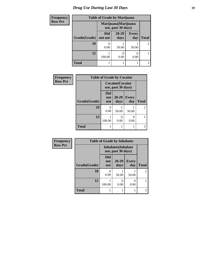# *Drug Use During Last 30 Days* **19**

| <b>Frequency</b> | <b>Table of Grade by Marijuana</b> |                                            |                   |                     |                |
|------------------|------------------------------------|--------------------------------------------|-------------------|---------------------|----------------|
| <b>Row Pct</b>   |                                    | Marijuana (Marijuana<br>use, past 30 days) |                   |                     |                |
|                  | Grade(Grade)                       | <b>Did</b><br>not use                      | $20 - 29$<br>days | <b>Every</b><br>day | <b>Total</b>   |
|                  | <b>10</b>                          | 0.00                                       | 50.00             | 50.00               | $\mathfrak{D}$ |
|                  | 12                                 | 100.00                                     | 0.00              | 0<br>0.00           |                |
|                  | <b>Total</b>                       |                                            |                   |                     | 3              |

| Frequency      |              | <b>Table of Grade by Cocaine</b> |                                               |                     |              |  |
|----------------|--------------|----------------------------------|-----------------------------------------------|---------------------|--------------|--|
| <b>Row Pct</b> |              |                                  | <b>Cocaine</b> (Cocaine<br>use, past 30 days) |                     |              |  |
|                | Grade(Grade) | <b>Did</b><br>not<br><b>use</b>  | $20 - 29$<br>days                             | <b>Every</b><br>day | <b>Total</b> |  |
|                | 10           | $\Omega$<br>0.00                 | 50.00                                         | 50.00               | 2            |  |
|                | 12           | 100.00                           | 0.00                                          | 0<br>0.00           |              |  |
|                | <b>Total</b> |                                  |                                               |                     | 3            |  |

| Frequency      | <b>Table of Grade by Inhalants</b> |                                 |                                                  |                     |                |  |
|----------------|------------------------------------|---------------------------------|--------------------------------------------------|---------------------|----------------|--|
| <b>Row Pct</b> |                                    |                                 | <b>Inhalants</b> (Inhalant<br>use, past 30 days) |                     |                |  |
|                | Grade(Grade)                       | <b>Did</b><br>not<br><b>use</b> | 20-29<br>days                                    | <b>Every</b><br>day | <b>Total</b>   |  |
|                | 10                                 | 0.00                            | 50.00                                            | 50.00               | $\overline{2}$ |  |
|                | 12                                 | 100.00                          | $\mathbf{\Omega}$<br>0.00                        | 0<br>0.00           |                |  |
|                | <b>Total</b>                       |                                 |                                                  |                     | 3              |  |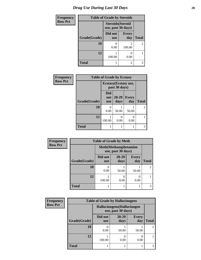| <b>Frequency</b> | <b>Table of Grade by Steroids</b> |                                                |                     |                |
|------------------|-----------------------------------|------------------------------------------------|---------------------|----------------|
| <b>Row Pct</b>   |                                   | <b>Steroids</b> (Steroid<br>use, past 30 days) |                     |                |
|                  | Grade(Grade)                      | Did not<br><b>use</b>                          | <b>Every</b><br>day | <b>Total</b>   |
|                  | 10                                | 0<br>0.00                                      | 2<br>100.00         | $\overline{2}$ |
|                  | 12                                | 100.00                                         | 0.00                |                |
|                  | <b>Total</b>                      | 1                                              | 2                   | 3              |

| Frequency      | <b>Table of Grade by Ecstasy</b> |                          |                                        |                     |              |  |
|----------------|----------------------------------|--------------------------|----------------------------------------|---------------------|--------------|--|
| <b>Row Pct</b> |                                  |                          | Ecstasy (Ecstasy use,<br>past 30 days) |                     |              |  |
|                | Grade(Grade)                     | Did<br>not<br><b>use</b> | 20-29<br>days                          | <b>Every</b><br>day | <b>Total</b> |  |
|                | 10                               | $\mathbf{0}$<br>0.00     | 50.00                                  | 50.00               | 2            |  |
|                | 12                               | 100.00                   | 0<br>0.00                              | O<br>0.00           |              |  |
|                | <b>Total</b>                     |                          |                                        | 1                   | 3            |  |

| <b>Frequency</b> | <b>Table of Grade by Meth</b> |                       |                                                    |                     |                |  |
|------------------|-------------------------------|-----------------------|----------------------------------------------------|---------------------|----------------|--|
| <b>Row Pct</b>   |                               |                       | <b>Meth</b> (Methamphetamine<br>use, past 30 days) |                     |                |  |
|                  | Grade(Grade)                  | Did not<br><b>use</b> | $20 - 29$<br>days                                  | <b>Every</b><br>day | <b>Total</b>   |  |
|                  | 10                            | 0.00                  | 50.00                                              | 50.00               | $\overline{2}$ |  |
|                  | 12                            | 100.00                | 0.00                                               | 0.00                |                |  |
|                  | <b>Total</b>                  |                       |                                                    |                     | 3              |  |

| Frequency      | <b>Table of Grade by Hallucinogens</b> |                                                   |                   |                     |       |
|----------------|----------------------------------------|---------------------------------------------------|-------------------|---------------------|-------|
| <b>Row Pct</b> |                                        | Hallucinogens (Hallucinogen<br>use, past 30 days) |                   |                     |       |
|                | Grade(Grade)                           | Did not<br><b>use</b>                             | $20 - 29$<br>days | <b>Every</b><br>day | Total |
|                | 10                                     | 0.00                                              | 50.00             | 50.00               |       |
|                | 12                                     | 100.00                                            | 0.00              | 0.00                |       |
|                | <b>Total</b>                           |                                                   |                   |                     |       |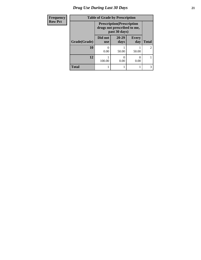# *Drug Use During Last 30 Days* **21**

| Frequency      | <b>Table of Grade by Prescription</b> |                                                                                   |               |                     |                |
|----------------|---------------------------------------|-----------------------------------------------------------------------------------|---------------|---------------------|----------------|
| <b>Row Pct</b> |                                       | <b>Prescription</b> (Prescription<br>drugs not prescribed to me,<br>past 30 days) |               |                     |                |
|                | Grade(Grade)                          | Did not<br><b>use</b>                                                             | 20-29<br>days | <b>Every</b><br>day | <b>Total</b>   |
|                | 10                                    | 0.00                                                                              | 50.00         | 50.00               | $\mathfrak{D}$ |
|                | 12                                    | 100.00                                                                            | 0.00          | 0<br>0.00           |                |
|                | <b>Total</b>                          |                                                                                   |               |                     | 3              |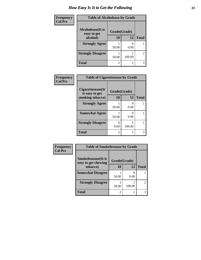### *How Easy Is It to Get the Following* **22**

| Frequency      | <b>Table of Alcoholease by Grade</b> |              |        |                |
|----------------|--------------------------------------|--------------|--------|----------------|
| <b>Col Pct</b> | Alcoholease(It is<br>easy to get     | Grade(Grade) |        |                |
|                | alcohol)                             | 10           | 12     | <b>Total</b>   |
|                | <b>Strongly Agree</b>                | 50.00        | 0.00   |                |
|                | <b>Strongly Disagree</b>             | 50.00        | 100.00 | $\overline{2}$ |
|                | <b>Total</b>                         | 2            |        | 3              |

| Frequency      | <b>Table of Cigarettesease by Grade</b> |              |           |              |
|----------------|-----------------------------------------|--------------|-----------|--------------|
| <b>Col Pct</b> | Cigarettesease(It)<br>is easy to get    | Grade(Grade) |           |              |
|                | smoking tobacco)                        | 10           | 12        | <b>Total</b> |
|                | <b>Strongly Agree</b>                   | 50.00        | 0<br>0.00 |              |
|                | <b>Somewhat Agree</b>                   | 50.00        | 0.00      |              |
|                | <b>Strongly Disagree</b>                | 0.00         | 100.00    |              |
|                | <b>Total</b>                            | 2            |           | 3            |

| Frequency      | <b>Table of Smokelessease by Grade</b>             |              |        |                |
|----------------|----------------------------------------------------|--------------|--------|----------------|
| <b>Col Pct</b> | <b>Smokelessease</b> (It is<br>easy to get chewing | Grade(Grade) |        |                |
| tobacco)       |                                                    | 10           | 12     | <b>Total</b>   |
|                | <b>Somewhat Disagree</b>                           | 50.00        | 0.00   |                |
|                | <b>Strongly Disagree</b>                           | 50.00        | 100.00 | $\overline{2}$ |
|                | <b>Total</b>                                       | 2            |        | 3              |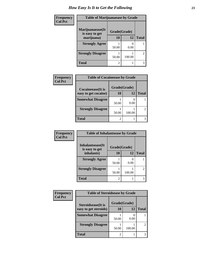### *How Easy Is It to Get the Following* **23**

| <b>Frequency</b> | <b>Table of Marijuanaease by Grade</b> |                |        |                |
|------------------|----------------------------------------|----------------|--------|----------------|
| <b>Col Pct</b>   | Marijuanaease(It<br>is easy to get     | Grade(Grade)   |        |                |
|                  | marijuana)                             | 10             | 12     | <b>Total</b>   |
|                  | <b>Strongly Agree</b>                  | 50.00          | 0.00   |                |
|                  | <b>Strongly Disagree</b>               | 50.00          | 100.00 | $\overline{2}$ |
|                  | <b>Total</b>                           | $\overline{c}$ |        | 3              |

| Frequency      | <b>Table of Cocaineease by Grade</b>              |                |        |              |
|----------------|---------------------------------------------------|----------------|--------|--------------|
| <b>Col Pct</b> | <b>Cocaineease</b> (It is<br>easy to get cocaine) | Grade(Grade)   |        |              |
|                |                                                   | 10             | 12     | <b>Total</b> |
|                | <b>Somewhat Disagree</b>                          | 50.00          | 0.00   |              |
|                | <b>Strongly Disagree</b>                          | 50.00          | 100.00 | 2            |
|                | <b>Total</b>                                      | $\mathfrak{D}$ |        | 3            |

| Frequency      | <b>Table of Inhalantsease by Grade</b> |                |        |              |
|----------------|----------------------------------------|----------------|--------|--------------|
| <b>Col Pct</b> | Inhalantsease(It)<br>is easy to get    | Grade(Grade)   |        |              |
|                | inhalants)                             | 10             | 12     | <b>Total</b> |
|                | <b>Strongly Agree</b>                  | 50.00          | 0.00   |              |
|                | <b>Strongly Disagree</b>               | 50.00          | 100.00 |              |
|                | <b>Total</b>                           | $\mathfrak{D}$ |        |              |

| Frequency      | <b>Table of Steroidsease by Grade</b> |                |        |              |
|----------------|---------------------------------------|----------------|--------|--------------|
| <b>Col Pct</b> | <b>Steroidsease</b> (It is            | Grade(Grade)   |        |              |
|                | easy to get steroids)                 | 10             | 12     | <b>Total</b> |
|                | <b>Somewhat Disagree</b>              | 50.00          | 0.00   |              |
|                | <b>Strongly Disagree</b>              | 50.00          | 100.00 | 2            |
|                | <b>Total</b>                          | $\overline{2}$ |        | 3            |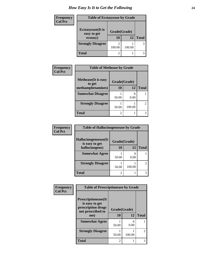### *How Easy Is It to Get the Following* **24**

| <b>Frequency</b> | <b>Table of Ecstasyease by Grade</b>     |              |        |              |
|------------------|------------------------------------------|--------------|--------|--------------|
| <b>Col Pct</b>   | <b>Ecstasyease</b> (It is<br>easy to get | Grade(Grade) |        |              |
|                  | ecstasy)                                 | 10           | 12     | <b>Total</b> |
|                  | <b>Strongly Disagree</b>                 | 100.00       | 100.00 | 3            |
|                  | <b>Total</b>                             |              |        |              |

| Frequency      | <b>Table of Methease by Grade</b>     |                |        |              |
|----------------|---------------------------------------|----------------|--------|--------------|
| <b>Col Pct</b> | <b>Methease</b> (It is easy<br>to get | Grade(Grade)   |        |              |
|                | methamphetamines)                     | 10             | 12     | <b>Total</b> |
|                | <b>Somewhat Disagree</b>              | 50.00          | 0.00   |              |
|                | <b>Strongly Disagree</b>              | 50.00          | 100.00 |              |
|                | <b>Total</b>                          | $\mathfrak{D}$ |        |              |

| Frequency      | <b>Table of Hallucinogensease by Grade</b> |                |                       |               |  |
|----------------|--------------------------------------------|----------------|-----------------------|---------------|--|
| <b>Col Pct</b> | Hallucinogensease(It<br>is easy to get     | Grade(Grade)   |                       |               |  |
|                | hallucinogens)                             | <b>10</b>      | 12                    | <b>Total</b>  |  |
|                | <b>Somewhat Agree</b>                      | 50.00          | $\mathcal{O}$<br>0.00 |               |  |
|                | <b>Strongly Disagree</b>                   | 50.00          | 100.00                | $\mathcal{L}$ |  |
|                | <b>Total</b>                               | $\mathfrak{D}$ |                       |               |  |

| Frequency      | <b>Table of Prescriptionease by Grade</b>      |                |        |                |  |
|----------------|------------------------------------------------|----------------|--------|----------------|--|
| <b>Col Pct</b> |                                                |                |        |                |  |
|                | <b>Prescriptionease</b> (It<br>is easy to get  |                |        |                |  |
|                | prescription drugs<br>not prescribed to<br>me) | Grade(Grade)   |        |                |  |
|                |                                                | 10             | 12     | <b>Total</b>   |  |
|                | <b>Somewhat Agree</b>                          | 50.00          | 0.00   |                |  |
|                | <b>Strongly Disagree</b>                       | 50.00          | 100.00 | $\mathfrak{D}$ |  |
|                | <b>Total</b>                                   | $\mathfrak{D}$ |        |                |  |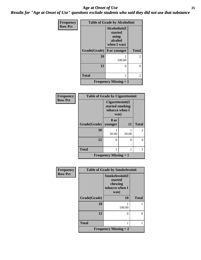#### *Age at Onset of Use* **25** *Results for "Age at Onset of Use" questions exclude students who said they did not use that substance*

| Frequency      | <b>Table of Grade by Alcoholinit</b> |                                                             |              |  |
|----------------|--------------------------------------|-------------------------------------------------------------|--------------|--|
| <b>Row Pct</b> |                                      | Alcoholinit(I<br>started<br>using<br>alcohol<br>when I was) |              |  |
|                | Grade(Grade)                         | 8 or younger                                                | <b>Total</b> |  |
|                | 10                                   | 2<br>100.00                                                 | 2            |  |
|                | 12                                   | $\mathcal{O}$                                               | 0            |  |
|                | <b>Total</b>                         | 2                                                           | 2            |  |
|                |                                      | <b>Frequency Missing = 1</b>                                |              |  |

| Frequency      | <b>Table of Grade by Cigarettesinit</b> |                                                               |           |                             |
|----------------|-----------------------------------------|---------------------------------------------------------------|-----------|-----------------------------|
| <b>Row Pct</b> |                                         | Cigarettesinit(I<br>started smoking<br>tobacco when I<br>was) |           |                             |
|                | Grade(Grade)                            | 8 or<br>younger                                               | <b>11</b> | <b>Total</b>                |
|                | 10                                      | 50.00                                                         | 50.00     | $\mathcal{D}_{\mathcal{L}}$ |
|                | 12                                      | 0                                                             | 0         |                             |
|                | <b>Total</b>                            | 1                                                             |           | $\mathcal{L}$               |
|                |                                         | <b>Frequency Missing = 1</b>                                  |           |                             |

| <b>Frequency</b> | <b>Table of Grade by Smokelessinit</b> |                                                                 |              |  |
|------------------|----------------------------------------|-----------------------------------------------------------------|--------------|--|
| <b>Row Pct</b>   |                                        | Smokelessinit(I<br>started<br>chewing<br>tobacco when I<br>was) |              |  |
|                  | Grade(Grade)                           | 10                                                              | <b>Total</b> |  |
|                  | 10                                     | 100.00                                                          |              |  |
|                  | 12                                     | 0                                                               | 0            |  |
|                  | <b>Total</b>                           | 1                                                               |              |  |
|                  |                                        | <b>Frequency Missing = 2</b>                                    |              |  |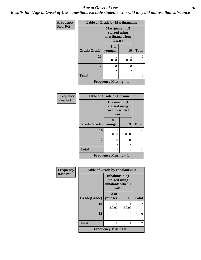#### *Age at Onset of Use* **26**

*Results for "Age at Onset of Use" questions exclude students who said they did not use that substance*

| <b>Frequency</b> | <b>Table of Grade by Marijuanainit</b> |                                                              |           |                |
|------------------|----------------------------------------|--------------------------------------------------------------|-----------|----------------|
| <b>Row Pct</b>   |                                        | Marijuanainit(I<br>started using<br>marijuana when<br>I was) |           |                |
|                  | Grade(Grade)   younger                 | 8 or                                                         | <b>10</b> | <b>Total</b>   |
|                  | 10                                     | 50.00                                                        | 50.00     | 2              |
|                  | 12                                     | 0                                                            | 0         | 0              |
|                  | <b>Total</b>                           | 1                                                            |           | $\mathfrak{D}$ |
|                  |                                        | <b>Frequency Missing = 1</b>                                 |           |                |

| Frequency      | <b>Table of Grade by Cocaineinit</b> |                                                          |       |               |
|----------------|--------------------------------------|----------------------------------------------------------|-------|---------------|
| <b>Row Pct</b> |                                      | Cocaineinit(I<br>started using<br>cocaine when I<br>was) |       |               |
|                | Grade(Grade)                         | 8 or<br>younger                                          | 9     | <b>Total</b>  |
|                | 10                                   | 50.00                                                    | 50.00 | 2             |
|                | 12                                   | 0                                                        | 0     |               |
|                | <b>Total</b>                         |                                                          |       | $\mathcal{L}$ |
|                |                                      | <b>Frequency Missing = 1</b>                             |       |               |

| Frequency      | <b>Table of Grade by Inhalantsinit</b> |                                                              |                   |                             |
|----------------|----------------------------------------|--------------------------------------------------------------|-------------------|-----------------------------|
| <b>Row Pct</b> |                                        | Inhalantsinit(I<br>started using<br>inhalants when I<br>was) |                   |                             |
|                | Grade(Grade)                           | 8 or<br>younger                                              | 15                | <b>Total</b>                |
|                | 10                                     | 50.00                                                        | 50.00             | 2                           |
|                | 12                                     | 0                                                            | $\mathbf{\Omega}$ |                             |
|                | <b>Total</b>                           |                                                              |                   | $\mathcal{D}_{\mathcal{L}}$ |
|                |                                        | <b>Frequency Missing = 1</b>                                 |                   |                             |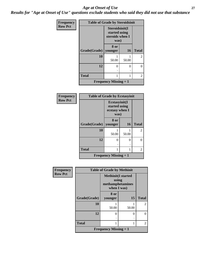#### *Age at Onset of Use* **27**

*Results for "Age at Onset of Use" questions exclude students who said they did not use that substance*

| Frequency      | <b>Table of Grade by Steroidsinit</b> |                                                            |           |                |
|----------------|---------------------------------------|------------------------------------------------------------|-----------|----------------|
| <b>Row Pct</b> |                                       | Steroidsinit(I<br>started using<br>steroids when I<br>was) |           |                |
|                | Grade(Grade)                          | 8 or<br>younger                                            | <b>16</b> | <b>Total</b>   |
|                | 10                                    | 50.00                                                      | 50.00     | $\overline{2}$ |
|                | 12                                    | 0                                                          | 0         | 0              |
|                | <b>Total</b>                          |                                                            |           | $\overline{2}$ |
|                |                                       | <b>Frequency Missing = 1</b>                               |           |                |

| Frequency      | <b>Table of Grade by Ecstasyinit</b> |                                                          |           |                |
|----------------|--------------------------------------|----------------------------------------------------------|-----------|----------------|
| <b>Row Pct</b> |                                      | Ecstasyinit(I<br>started using<br>ecstasy when I<br>was) |           |                |
|                | Grade(Grade)                         | 8 or<br>younger                                          | <b>16</b> | <b>Total</b>   |
|                | 10                                   | 50.00                                                    | 50.00     | 2              |
|                | 12                                   | 0                                                        | 0         |                |
|                | <b>Total</b>                         |                                                          |           | $\mathfrak{D}$ |
|                |                                      | <b>Frequency Missing = 1</b>                             |           |                |

| Frequency      |                              | <b>Table of Grade by Methinit</b>                                     |       |                |  |
|----------------|------------------------------|-----------------------------------------------------------------------|-------|----------------|--|
| <b>Row Pct</b> |                              | <b>Methinit(I started</b><br>using<br>methamphetamines<br>when I was) |       |                |  |
|                | Grade(Grade)                 | 8 or<br>younger                                                       | 15    | <b>Total</b>   |  |
|                | 10                           | 50.00                                                                 | 50.00 | $\mathfrak{D}$ |  |
|                | 12                           | 0                                                                     | 0     | 0              |  |
|                | <b>Total</b>                 |                                                                       | 1     | $\mathfrak{D}$ |  |
|                | <b>Frequency Missing = 1</b> |                                                                       |       |                |  |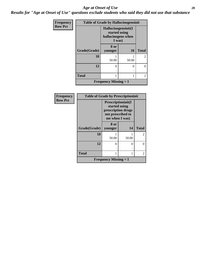#### *Age at Onset of Use* **28**

*Results for "Age at Onset of Use" questions exclude students who said they did not use that substance*

| Frequency      | <b>Table of Grade by Hallucinogensinit</b> |                                                                      |           |                |
|----------------|--------------------------------------------|----------------------------------------------------------------------|-----------|----------------|
| <b>Row Pct</b> |                                            | Hallucinogensinit(I<br>started using<br>hallucinogens when<br>I was) |           |                |
|                | Grade(Grade)                               | 8 or<br>younger                                                      | <b>16</b> | <b>Total</b>   |
|                | 10                                         | 50.00                                                                | 50.00     | $\overline{2}$ |
|                | 12                                         | ∩                                                                    | 0         | 0              |
|                | <b>Total</b>                               |                                                                      |           | 2              |
|                |                                            | <b>Frequency Missing = 1</b>                                         |           |                |

| Frequency      | <b>Table of Grade by Prescriptioninit</b> |                                                                                                  |       |                |
|----------------|-------------------------------------------|--------------------------------------------------------------------------------------------------|-------|----------------|
| <b>Row Pct</b> |                                           | Prescriptioninit(I<br>started using<br>prescription drugs<br>not prescribed to<br>me when I was) |       |                |
|                | Grade(Grade)                              | 8 or                                                                                             | 14    | <b>Total</b>   |
|                |                                           | younger                                                                                          |       |                |
|                | 10                                        |                                                                                                  |       | $\overline{2}$ |
|                |                                           | 50.00                                                                                            | 50.00 |                |
|                | 12                                        | 0                                                                                                | ∩     | 0              |
|                |                                           |                                                                                                  |       |                |
|                | <b>Total</b>                              | 1                                                                                                |       | $\overline{c}$ |
|                |                                           | <b>Frequency Missing = 1</b>                                                                     |       |                |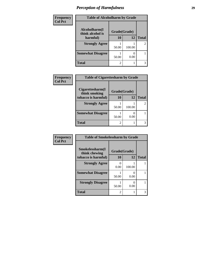| Frequency      | <b>Table of Alcoholharm by Grade</b> |              |        |                |
|----------------|--------------------------------------|--------------|--------|----------------|
| <b>Col Pct</b> |                                      |              |        |                |
|                | Alcoholharm(I<br>think alcohol is    | Grade(Grade) |        |                |
|                | harmful)                             | 10           | 12     | <b>Total</b>   |
|                | <b>Strongly Agree</b>                | 50.00        | 100.00 | $\overline{2}$ |
|                | <b>Somewhat Disagree</b>             | 50.00        | 0.00   |                |
|                | <b>Total</b>                         | 2            |        | 3              |

| Frequency      | <b>Table of Cigarettesharm by Grade</b> |                |        |               |
|----------------|-----------------------------------------|----------------|--------|---------------|
| <b>Col Pct</b> |                                         |                |        |               |
|                | Cigarettesharm(I<br>think smoking       | Grade(Grade)   |        |               |
|                | tobacco is harmful)                     | 10             | 12     | <b>Total</b>  |
|                | <b>Strongly Agree</b>                   |                |        | $\mathcal{L}$ |
|                |                                         | 50.00          | 100.00 |               |
|                | <b>Somewhat Disagree</b>                |                |        |               |
|                |                                         | 50.00          | 0.00   |               |
|                | <b>Total</b>                            | $\mathfrak{D}$ |        |               |
|                |                                         |                |        |               |

| Frequency      | <b>Table of Smokelessharm by Grade</b> |                |           |              |
|----------------|----------------------------------------|----------------|-----------|--------------|
| <b>Col Pct</b> | Smokelessharm(I                        | Grade(Grade)   |           |              |
|                | think chewing<br>tobacco is harmful)   | 10             | 12        | <b>Total</b> |
|                | <b>Strongly Agree</b>                  | 0<br>0.00      | 100.00    |              |
|                | <b>Somewhat Disagree</b>               | 50.00          | 0.00      |              |
|                | <b>Strongly Disagree</b>               | 50.00          | 0<br>0.00 |              |
|                | <b>Total</b>                           | $\overline{c}$ |           | 3            |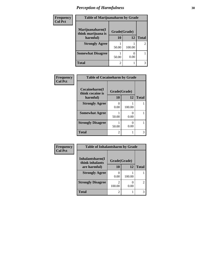| Frequency      | <b>Table of Marijuanaharm by Grade</b> |              |        |                |
|----------------|----------------------------------------|--------------|--------|----------------|
| <b>Col Pct</b> | Marijuanaharm(I<br>think marijuana is  | Grade(Grade) |        |                |
|                | harmful)                               | 10           | 12     | <b>Total</b>   |
|                | <b>Strongly Agree</b>                  | 50.00        | 100.00 | $\overline{2}$ |
|                | <b>Somewhat Disagree</b>               | 50.00        | 0.00   |                |
|                | <b>Total</b>                           | 2            |        | 3              |

| <b>Frequency</b> | <b>Table of Cocaineharm by Grade</b> |                  |           |              |  |
|------------------|--------------------------------------|------------------|-----------|--------------|--|
| <b>Col Pct</b>   | Cocaineharm(I<br>think cocaine is    | Grade(Grade)     |           |              |  |
|                  | harmful)                             | 10               | 12        | <b>Total</b> |  |
|                  | <b>Strongly Agree</b>                | $\Omega$<br>0.00 | 100.00    |              |  |
|                  | <b>Somewhat Agree</b>                | 50.00            | 0<br>0.00 |              |  |
|                  | <b>Strongly Disagree</b>             | 50.00            | 0<br>0.00 |              |  |
|                  | <b>Total</b>                         | $\mathfrak{D}$   |           | 3            |  |

| Frequency      | <b>Table of Inhalantsharm by Grade</b> |              |        |                |
|----------------|----------------------------------------|--------------|--------|----------------|
| <b>Col Pct</b> | Inhalantsharm(I<br>think inhalants     | Grade(Grade) |        |                |
|                | are harmful)                           | 10           | 12     | <b>Total</b>   |
|                | <b>Strongly Agree</b>                  | 0.00         | 100.00 |                |
|                | <b>Strongly Disagree</b>               | 100.00       | 0.00   | $\overline{c}$ |
|                | <b>Total</b>                           | 2            |        | 3              |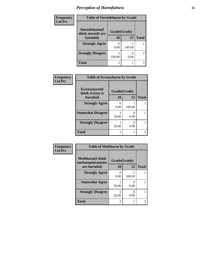| Frequency      | <b>Table of Steroidsharm by Grade</b> |              |        |                |
|----------------|---------------------------------------|--------------|--------|----------------|
| <b>Col Pct</b> | Steroidsharm(I<br>think steroids are  | Grade(Grade) |        |                |
|                | harmful)                              | 10           | 12     | <b>Total</b>   |
|                | <b>Strongly Agree</b>                 | 0.00         | 100.00 |                |
|                | <b>Strongly Disagree</b>              | 100.00       | 0.00   | $\overline{c}$ |
|                | <b>Total</b>                          | 2            |        | 3              |

| Frequency      | <b>Table of Ecstasyharm by Grade</b> |                |           |              |
|----------------|--------------------------------------|----------------|-----------|--------------|
| <b>Col Pct</b> | Ecstasyharm(I<br>think ecstasy is    | Grade(Grade)   |           |              |
|                | harmful)                             | 10             | 12        | <b>Total</b> |
|                | <b>Strongly Agree</b>                | 0.00           | 100.00    |              |
|                | <b>Somewhat Disagree</b>             | 50.00          | 0.00      |              |
|                | <b>Strongly Disagree</b>             | 50.00          | 0<br>0.00 |              |
|                | <b>Total</b>                         | $\mathfrak{D}$ |           | 3            |

| Frequency      |                                                              | <b>Table of Methharm by Grade</b> |           |              |  |
|----------------|--------------------------------------------------------------|-----------------------------------|-----------|--------------|--|
| <b>Col Pct</b> | <b>Methharm</b> (I think<br>methamphetamines<br>are harmful) | Grade(Grade)<br>10                | 12        | <b>Total</b> |  |
|                | <b>Strongly Agree</b>                                        | 0<br>0.00                         | 100.00    |              |  |
|                | <b>Somewhat Agree</b>                                        | 50.00                             | 0.00      |              |  |
|                | <b>Strongly Disagree</b>                                     | 50.00                             | 0<br>0.00 |              |  |
|                | <b>Total</b>                                                 | $\mathfrak{D}$                    |           | 3            |  |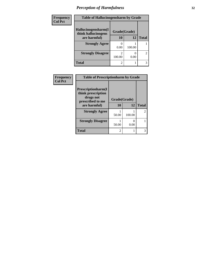| Frequency      | <b>Table of Hallucinogensharm by Grade</b> |                |        |                |
|----------------|--------------------------------------------|----------------|--------|----------------|
| <b>Col Pct</b> | Hallucinogensharm(I<br>think hallucinogens | Grade(Grade)   |        |                |
|                | are harmful)                               | 10             | 12     | <b>Total</b>   |
|                | <b>Strongly Agree</b>                      | 0.00           | 100.00 |                |
|                | <b>Strongly Disagree</b>                   | 100.00         | 0.00   | $\mathfrak{D}$ |
|                | Total                                      | $\overline{c}$ |        | 3              |

| Frequency      | <b>Table of Prescriptionharm by Grade</b>                     |                |        |               |  |
|----------------|---------------------------------------------------------------|----------------|--------|---------------|--|
| <b>Col Pct</b> | <b>Prescriptionharm</b> (I<br>think prescription<br>drugs not |                |        |               |  |
|                | prescribed to me                                              | Grade(Grade)   |        |               |  |
|                | are harmful)                                                  | 10             | 12     | <b>Total</b>  |  |
|                | <b>Strongly Agree</b>                                         | 50.00          | 100.00 | $\mathcal{L}$ |  |
|                | <b>Strongly Disagree</b>                                      | 50.00          | 0.00   |               |  |
|                | <b>Total</b>                                                  | $\mathfrak{D}$ |        |               |  |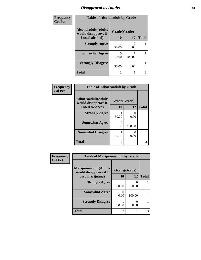### *Disapproval by Adults* **33**

| Frequency      | <b>Table of Alcoholadult by Grade</b>                              |                |        |              |
|----------------|--------------------------------------------------------------------|----------------|--------|--------------|
| <b>Col Pct</b> | <b>Alcoholadult</b> (Adults<br>Grade(Grade)<br>would disapprove if |                |        |              |
|                | I used alcohol)                                                    | 10             | 12     | <b>Total</b> |
|                | <b>Strongly Agree</b>                                              | 50.00          | 0.00   |              |
|                | <b>Somewhat Agree</b>                                              | 0.00           | 100.00 |              |
|                | <b>Strongly Disagree</b>                                           | 50.00          | 0.00   |              |
|                | <b>Total</b>                                                       | $\overline{c}$ |        | 3            |

| Frequency      | <b>Table of Tobaccoadult by Grade</b>             |                |                           |              |
|----------------|---------------------------------------------------|----------------|---------------------------|--------------|
| <b>Col Pct</b> | <b>Tobaccoadult(Adults</b><br>would disapprove if | Grade(Grade)   |                           |              |
|                | I used tobacco)                                   | 10             | 12                        | <b>Total</b> |
|                | <b>Strongly Agree</b>                             | 50.00          | $\mathbf{\Omega}$<br>0.00 |              |
|                | <b>Somewhat Agree</b>                             | 0.00           | 100.00                    |              |
|                | <b>Somewhat Disagree</b>                          | 50.00          | 0<br>0.00                 |              |
|                | <b>Total</b>                                      | $\mathfrak{D}$ |                           | 3            |

| Frequency      | <b>Table of Marijuanaadult by Grade</b>        |                |           |              |
|----------------|------------------------------------------------|----------------|-----------|--------------|
| <b>Col Pct</b> | Marijuanaadult(Adults<br>would disapprove if I | Grade(Grade)   |           |              |
|                | used marijuana)                                | 10             | 12        | <b>Total</b> |
|                | <b>Strongly Agree</b>                          | 50.00          | 0<br>0.00 |              |
|                | <b>Somewhat Agree</b>                          | 0.00           | 100.00    |              |
|                | <b>Strongly Disagree</b>                       | 50.00          | O<br>0.00 |              |
|                | <b>Total</b>                                   | $\overline{c}$ |           | 3            |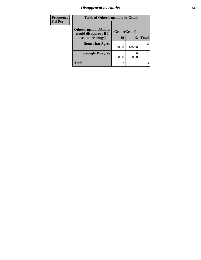#### *Disapproval by Adults* **34**

| <b>Frequency</b> | <b>Table of Otherdrugadult by Grade</b>                |              |        |                |
|------------------|--------------------------------------------------------|--------------|--------|----------------|
| <b>Col Pct</b>   | <b>Otherdrugadult</b> (Adults<br>would disapprove if I | Grade(Grade) |        |                |
|                  | used other drugs)                                      | 10           | 12     | <b>Total</b>   |
|                  | <b>Somewhat Agree</b>                                  |              |        | $\overline{2}$ |
|                  |                                                        | 50.00        | 100.00 |                |
|                  | <b>Strongly Disagree</b>                               |              |        |                |
|                  |                                                        | 50.00        | 0.00   |                |
|                  | Total                                                  | റ            |        | 3              |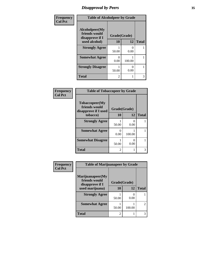### *Disapproval by Peers* **35**

| Frequency      | <b>Table of Alcoholpeer by Grade</b>               |                           |           |              |
|----------------|----------------------------------------------------|---------------------------|-----------|--------------|
| <b>Col Pct</b> | Alcoholpeer(My<br>friends would<br>disapprove if I | Grade(Grade)<br>10        | 12        |              |
|                | used alcohol)                                      |                           |           | <b>Total</b> |
|                | <b>Strongly Agree</b>                              | 50.00                     | 0<br>0.00 |              |
|                | <b>Somewhat Agree</b>                              | $\mathbf{\Omega}$<br>0.00 | 100.00    |              |
|                | <b>Strongly Disagree</b>                           | 50.00                     | 0<br>0.00 |              |
|                | <b>Total</b>                                       | $\overline{c}$            |           | 3            |

| Frequency      | <b>Table of Tobaccopeer by Grade</b>                    |                |           |              |
|----------------|---------------------------------------------------------|----------------|-----------|--------------|
| <b>Col Pct</b> | Tobaccopeer(My<br>friends would<br>disapprove if I used | Grade(Grade)   |           |              |
|                | tobacco)                                                | <b>10</b>      | <b>12</b> | <b>Total</b> |
|                | <b>Strongly Agree</b>                                   | 50.00          | 0.00      |              |
|                | <b>Somewhat Agree</b>                                   | 0<br>0.00      | 100.00    |              |
|                | <b>Somewhat Disagree</b>                                | 50.00          | 0<br>0.00 |              |
|                | <b>Total</b>                                            | $\mathfrak{D}$ |           | 3            |

| Frequency      | <b>Table of Marijuanapeer by Grade</b>               |              |        |                             |
|----------------|------------------------------------------------------|--------------|--------|-----------------------------|
| <b>Col Pct</b> | Marijuanapeer(My<br>friends would<br>disapprove if I | Grade(Grade) |        |                             |
|                | used marijuana)                                      | <b>10</b>    | 12     | <b>Total</b>                |
|                | <b>Strongly Agree</b>                                | 50.00        | 0.00   |                             |
|                | <b>Somewhat Agree</b>                                | 50.00        | 100.00 | $\mathcal{D}_{\mathcal{L}}$ |
|                | <b>Total</b>                                         | 2            |        |                             |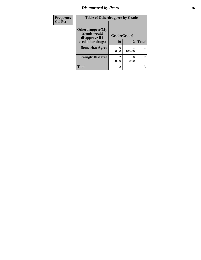# *Disapproval by Peers* **36**

| Frequency      | <b>Table of Otherdrugpeer by Grade</b>               |              |           |                |
|----------------|------------------------------------------------------|--------------|-----------|----------------|
| <b>Col Pct</b> | Otherdrugpeer(My<br>friends would<br>disapprove if I | Grade(Grade) |           |                |
|                | used other drugs)                                    | 10           | 12        | <b>Total</b>   |
|                | <b>Somewhat Agree</b>                                | 0.00         | 100.00    |                |
|                | <b>Strongly Disagree</b>                             | 100.00       | 0<br>0.00 | $\overline{2}$ |
|                | <b>Total</b>                                         | 2            |           |                |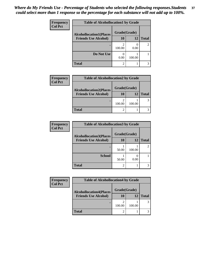| Frequency      | <b>Table of Alcohollocation1 by Grade</b> |              |        |                |  |
|----------------|-------------------------------------------|--------------|--------|----------------|--|
| <b>Col Pct</b> | <b>Alcohollocation1(Places</b>            | Grade(Grade) |        |                |  |
|                | <b>Friends Use Alcohol)</b>               | 10           | 12     | <b>Total</b>   |  |
|                |                                           | 100.00       | 0.00   | $\mathfrak{D}$ |  |
|                | Do Not Use                                | 0.00         | 100.00 |                |  |
|                | <b>Total</b>                              | 2            |        |                |  |

| <b>Frequency</b> | <b>Table of Alcohollocation2 by Grade</b> |              |        |              |
|------------------|-------------------------------------------|--------------|--------|--------------|
| <b>Col Pct</b>   | <b>Alcohollocation2(Places</b>            | Grade(Grade) |        |              |
|                  | <b>Friends Use Alcohol)</b>               | 10           | 12     | <b>Total</b> |
|                  |                                           | 100.00       | 100.00 |              |
|                  | <b>Total</b>                              |              |        |              |

| Frequency      | <b>Table of Alcohollocation3 by Grade</b> |              |        |              |
|----------------|-------------------------------------------|--------------|--------|--------------|
| <b>Col Pct</b> | <b>Alcohollocation3(Places</b>            | Grade(Grade) |        |              |
|                | <b>Friends Use Alcohol)</b>               | 10           | 12     | <b>Total</b> |
|                |                                           |              |        |              |
|                |                                           | 50.00        | 100.00 |              |
|                | <b>School</b>                             | 50.00        | 0.00   |              |
|                |                                           |              |        |              |
|                | <b>Total</b>                              | っ            |        |              |

| <b>Frequency</b> | <b>Table of Alcohollocation4 by Grade</b> |              |        |              |  |
|------------------|-------------------------------------------|--------------|--------|--------------|--|
| <b>Col Pct</b>   | <b>Alcohollocation4(Places</b>            | Grade(Grade) |        |              |  |
|                  | <b>Friends Use Alcohol)</b>               | 10           | 12     | <b>Total</b> |  |
|                  |                                           | 100.00       | 100.00 | 3            |  |
|                  | <b>Total</b>                              | 2            |        |              |  |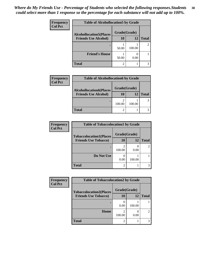| Frequency      | <b>Table of Alcohollocation5 by Grade</b> |              |        |                |  |
|----------------|-------------------------------------------|--------------|--------|----------------|--|
| <b>Col Pct</b> | <b>Alcohollocation5(Places</b>            | Grade(Grade) |        |                |  |
|                | <b>Friends Use Alcohol)</b>               | 10           | 12     | <b>Total</b>   |  |
|                |                                           | 50.00        | 100.00 | $\mathfrak{D}$ |  |
|                | <b>Friend's House</b>                     | 50.00        | 0.00   |                |  |
|                | <b>Total</b>                              | 2            |        |                |  |

| <b>Frequency</b> |                                | <b>Table of Alcohollocation6 by Grade</b> |        |              |
|------------------|--------------------------------|-------------------------------------------|--------|--------------|
| <b>Col Pct</b>   | <b>Alcohollocation6(Places</b> | Grade(Grade)                              |        |              |
|                  | <b>Friends Use Alcohol)</b>    | 10                                        | 12     | <b>Total</b> |
|                  |                                | 100.00                                    | 100.00 |              |
|                  | <b>Total</b>                   |                                           |        |              |

| <b>Frequency</b> | <b>Table of Tobaccolocation1 by Grade</b> |                |        |              |
|------------------|-------------------------------------------|----------------|--------|--------------|
| <b>Col Pct</b>   | <b>Tobaccolocation1(Places</b>            | Grade(Grade)   |        |              |
|                  | <b>Friends Use Tobacco)</b>               | 10             | 12     | <b>Total</b> |
|                  |                                           | 100.00         | 0.00   |              |
|                  | Do Not Use                                | 0.00           | 100.00 |              |
|                  | <b>Total</b>                              | $\overline{2}$ |        |              |

| Frequency      | <b>Table of Tobaccolocation2 by Grade</b> |              |        |              |
|----------------|-------------------------------------------|--------------|--------|--------------|
| <b>Col Pct</b> | <b>Tobaccolocation2(Places</b>            | Grade(Grade) |        |              |
|                | <b>Friends Use Tobacco)</b>               | 10           | 12     | <b>Total</b> |
|                |                                           | 0.00         | 100.00 |              |
|                | Home                                      | ി<br>100.00  | 0.00   | 2            |
|                | <b>Total</b>                              | ◠            |        |              |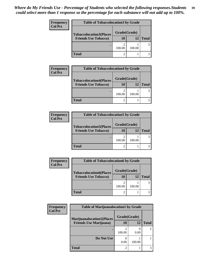| Frequency      | <b>Table of Tobaccolocation3 by Grade</b> |              |        |              |
|----------------|-------------------------------------------|--------------|--------|--------------|
| <b>Col Pct</b> | <b>Tobaccolocation3(Places</b>            | Grade(Grade) |        |              |
|                | <b>Friends Use Tobacco)</b>               | 10           | 12     | <b>Total</b> |
|                |                                           | 100.00       | 100.00 |              |
|                | <b>Total</b>                              |              |        |              |

| <b>Frequency</b> | <b>Table of Tobaccolocation4 by Grade</b> |              |        |              |  |
|------------------|-------------------------------------------|--------------|--------|--------------|--|
| <b>Col Pct</b>   | <b>Tobaccolocation4(Places</b>            | Grade(Grade) |        |              |  |
|                  | <b>Friends Use Tobacco)</b>               | 10           | 12     | <b>Total</b> |  |
|                  |                                           | 100.00       | 100.00 |              |  |
|                  | <b>Total</b>                              |              |        |              |  |

| <b>Frequency</b> | <b>Table of Tobaccolocation5 by Grade</b> |              |        |              |
|------------------|-------------------------------------------|--------------|--------|--------------|
| <b>Col Pct</b>   | <b>Tobaccolocation5(Places</b>            | Grade(Grade) |        |              |
|                  | <b>Friends Use Tobacco)</b>               | 10           | 12     | <b>Total</b> |
|                  |                                           | 100.00       | 100.00 |              |
|                  | <b>Total</b>                              |              |        |              |

| <b>Frequency</b> | <b>Table of Tobaccolocation6 by Grade</b> |              |        |              |
|------------------|-------------------------------------------|--------------|--------|--------------|
| Col Pct          | <b>Tobaccolocation6(Places</b>            | Grade(Grade) |        |              |
|                  | <b>Friends Use Tobacco)</b>               | 10           | 12     | <b>Total</b> |
|                  |                                           | 100.00       | 100.00 |              |
|                  | <b>Total</b>                              |              |        |              |

| Frequency      | <b>Table of Marijuanalocation1 by Grade</b> |              |        |               |
|----------------|---------------------------------------------|--------------|--------|---------------|
| <b>Col Pct</b> | <b>Marijuanalocation1(Places</b>            | Grade(Grade) |        |               |
|                | <b>Friends Use Marijuana</b> )              | 10           | 12     | <b>Total</b>  |
|                |                                             | 100.00       | 0.00   | $\mathcal{L}$ |
|                | Do Not Use                                  | 0.00         | 100.00 |               |
|                | <b>Total</b>                                | 2            |        | 3             |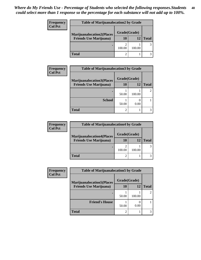| Frequency<br><b>Col Pct</b> | <b>Table of Marijuanalocation2 by Grade</b> |              |        |              |
|-----------------------------|---------------------------------------------|--------------|--------|--------------|
|                             | <b>Marijuanalocation2(Places</b>            | Grade(Grade) |        |              |
|                             | <b>Friends Use Marijuana</b> )              | 10           | 12     | <b>Total</b> |
|                             |                                             | 100.00       | 100.00 |              |
|                             | <b>Total</b>                                |              |        |              |

| <b>Frequency</b> | <b>Table of Marijuanalocation3 by Grade</b> |              |        |              |
|------------------|---------------------------------------------|--------------|--------|--------------|
| <b>Col Pct</b>   | <b>Marijuanalocation3(Places</b>            | Grade(Grade) |        |              |
|                  | <b>Friends Use Marijuana</b> )              | 10           | 12     | <b>Total</b> |
|                  |                                             | 50.00        | 100.00 |              |
|                  | <b>School</b>                               | 50.00        | 0.00   |              |
|                  | <b>Total</b>                                | ◠            |        |              |

| <b>Frequency</b> | <b>Table of Marijuanalocation4 by Grade</b> |              |        |              |
|------------------|---------------------------------------------|--------------|--------|--------------|
| <b>Col Pct</b>   | <b>Marijuanalocation4(Places</b>            | Grade(Grade) |        |              |
|                  | <b>Friends Use Marijuana</b> )              | 10           | 12     | <b>Total</b> |
|                  |                                             | 100.00       | 100.00 |              |
|                  | <b>Total</b>                                |              |        |              |

| Frequency      | <b>Table of Marijuanalocation5 by Grade</b> |              |        |               |
|----------------|---------------------------------------------|--------------|--------|---------------|
| <b>Col Pct</b> | <b>Marijuanalocation5</b> (Places           | Grade(Grade) |        |               |
|                | <b>Friends Use Marijuana</b> )              | 10           | 12     | <b>Total</b>  |
|                |                                             | 50.00        | 100.00 | $\mathcal{L}$ |
|                | <b>Friend's House</b>                       | 50.00        | 0.00   |               |
|                | <b>Total</b>                                |              |        |               |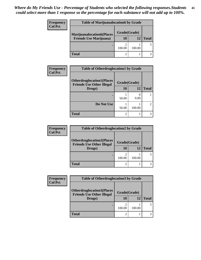| <b>Frequency</b> | <b>Table of Marijuanalocation6 by Grade</b> |              |        |              |
|------------------|---------------------------------------------|--------------|--------|--------------|
| <b>Col Pct</b>   | <b>Marijuanalocation6(Places</b>            | Grade(Grade) |        |              |
|                  | <b>Friends Use Marijuana</b> )              | 10           | 12     | <b>Total</b> |
|                  |                                             | 100.00       | 100.00 |              |
|                  | Total                                       |              |        |              |

| <b>Frequency</b> | <b>Table of Otherdruglocation1 by Grade</b>                          |              |        |              |
|------------------|----------------------------------------------------------------------|--------------|--------|--------------|
| <b>Col Pct</b>   | <b>Otherdruglocation1(Places</b><br><b>Friends Use Other Illegal</b> | Grade(Grade) |        |              |
|                  | Drugs)                                                               | 10           | 12     | <b>Total</b> |
|                  |                                                                      | 50.00        | 0.00   |              |
|                  | Do Not Use                                                           | 50.00        | 100.00 | C            |
|                  | <b>Total</b>                                                         |              |        |              |

| <b>Frequency</b> | <b>Table of Otherdruglocation2 by Grade</b>                          |              |              |  |
|------------------|----------------------------------------------------------------------|--------------|--------------|--|
| <b>Col Pct</b>   | <b>Otherdruglocation2(Places</b><br><b>Friends Use Other Illegal</b> | Grade(Grade) |              |  |
| Drugs)           | 10                                                                   | 12           | <b>Total</b> |  |
|                  |                                                                      | 100.00       | 100.00       |  |
|                  | <b>Total</b>                                                         |              |              |  |

| <b>Frequency</b> | <b>Table of Otherdruglocation 3 by Grade</b>                         |              |        |              |  |
|------------------|----------------------------------------------------------------------|--------------|--------|--------------|--|
| <b>Col Pct</b>   | <b>Otherdruglocation3(Places</b><br><b>Friends Use Other Illegal</b> | Grade(Grade) |        |              |  |
|                  | Drugs)                                                               | 10           | 12     | <b>Total</b> |  |
|                  |                                                                      | 100.00       | 100.00 | 3            |  |
|                  | Total                                                                |              |        |              |  |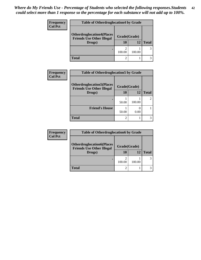| <b>Frequency</b><br><b>Col Pct</b> | <b>Table of Otherdruglocation4 by Grade</b>                          |              |        |              |
|------------------------------------|----------------------------------------------------------------------|--------------|--------|--------------|
|                                    | <b>Otherdruglocation4(Places</b><br><b>Friends Use Other Illegal</b> | Grade(Grade) |        |              |
|                                    | Drugs)                                                               | 10           | 12     | <b>Total</b> |
|                                    |                                                                      | 100.00       | 100.00 | 3            |
|                                    | Total                                                                |              |        |              |

| Frequency      | <b>Table of Otherdruglocation5 by Grade</b>                          |              |        |               |
|----------------|----------------------------------------------------------------------|--------------|--------|---------------|
| <b>Col Pct</b> | <b>Otherdruglocation5(Places</b><br><b>Friends Use Other Illegal</b> | Grade(Grade) |        |               |
|                | Drugs)                                                               | 10           | 12     | <b>Total</b>  |
|                |                                                                      | 50.00        | 100.00 | $\mathcal{L}$ |
|                | <b>Friend's House</b>                                                | 50.00        | 0.00   |               |
|                | <b>Total</b>                                                         | 2            |        |               |

| <b>Frequency</b> | <b>Table of Otherdruglocation6 by Grade</b>                          |              |        |              |
|------------------|----------------------------------------------------------------------|--------------|--------|--------------|
| <b>Col Pct</b>   | <b>Otherdruglocation6(Places</b><br><b>Friends Use Other Illegal</b> | Grade(Grade) |        |              |
|                  | Drugs)                                                               | 10           | 12     | <b>Total</b> |
|                  |                                                                      | 100.00       | 100.00 |              |
|                  | <b>Total</b>                                                         |              |        |              |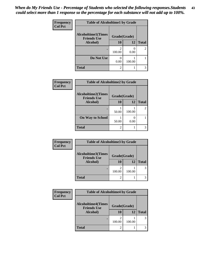| Frequency      | <b>Table of Alcoholtime1 by Grade</b>           |                                       |        |              |
|----------------|-------------------------------------------------|---------------------------------------|--------|--------------|
| <b>Col Pct</b> | <b>Alcoholtime1(Times</b><br><b>Friends Use</b> | Grade(Grade)                          |        |              |
|                | Alcohol)                                        | 10                                    | 12     | <b>Total</b> |
|                |                                                 | $\mathcal{D}_{\mathcal{A}}$<br>100.00 | 0.00   | 2            |
|                | Do Not Use                                      | 0.00                                  | 100.00 |              |
|                | <b>Total</b>                                    | $\mathfrak{D}$                        |        |              |

| Frequency      | <b>Table of Alcoholtime2 by Grade</b>           |                |        |              |
|----------------|-------------------------------------------------|----------------|--------|--------------|
| <b>Col Pct</b> | <b>Alcoholtime2(Times</b><br><b>Friends Use</b> | Grade(Grade)   |        |              |
|                | Alcohol)                                        | 10             | 12     | <b>Total</b> |
|                |                                                 | 50.00          | 100.00 |              |
|                | <b>On Way to School</b>                         | 50.00          | 0.00   |              |
|                | <b>Total</b>                                    | $\mathfrak{D}$ |        |              |

| Frequency      | <b>Table of Alcoholtime3 by Grade</b> |                 |              |   |  |
|----------------|---------------------------------------|-----------------|--------------|---|--|
| <b>Col Pct</b> | <b>Alcoholtime3(Times</b>             | Grade(Grade)    |              |   |  |
|                | <b>Friends Use</b><br>Alcohol)        | <b>10</b><br>12 | <b>Total</b> |   |  |
|                |                                       | 100.00          | 100.00       | 3 |  |
|                | <b>Total</b>                          |                 |              |   |  |

| Frequency      | <b>Table of Alcoholtime4 by Grade</b>           |              |           |              |  |
|----------------|-------------------------------------------------|--------------|-----------|--------------|--|
| <b>Col Pct</b> |                                                 |              |           |              |  |
|                | <b>Alcoholtime4(Times</b><br><b>Friends Use</b> | Grade(Grade) |           |              |  |
|                | Alcohol)                                        | 10           | <b>12</b> | <b>Total</b> |  |
|                |                                                 | 100.00       | 100.00    | 3            |  |
|                | <b>Total</b>                                    |              |           |              |  |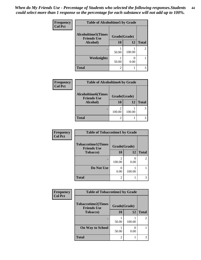| Frequency      | <b>Table of Alcoholtime5 by Grade</b>           |                |           |                |
|----------------|-------------------------------------------------|----------------|-----------|----------------|
| <b>Col Pct</b> | <b>Alcoholtime5(Times</b><br><b>Friends Use</b> | Grade(Grade)   |           |                |
|                | Alcohol)                                        | 10             | <b>12</b> | <b>Total</b>   |
|                |                                                 | 50.00          | 100.00    | $\mathfrak{D}$ |
|                | <b>Weeknights</b>                               | 50.00          | 0.00      |                |
|                | <b>Total</b>                                    | $\mathfrak{D}$ |           | 3              |

| Frequency      | <b>Table of Alcoholtime6 by Grade</b>           |              |        |              |
|----------------|-------------------------------------------------|--------------|--------|--------------|
| <b>Col Pct</b> | <b>Alcoholtime6(Times</b><br><b>Friends Use</b> | Grade(Grade) |        |              |
|                | Alcohol)                                        | 10           | 12     | <b>Total</b> |
|                |                                                 | 100.00       | 100.00 |              |
|                | <b>Total</b>                                    |              |        |              |

| Frequency      | <b>Table of Tobaccotime1 by Grade</b>           |                             |        |                |  |
|----------------|-------------------------------------------------|-----------------------------|--------|----------------|--|
| <b>Col Pct</b> | <b>Tobaccotime1(Times</b><br><b>Friends Use</b> | Grade(Grade)                |        |                |  |
|                | <b>Tobacco</b> )                                | 10                          | 12     | <b>Total</b>   |  |
|                |                                                 | 100.00                      | 0.00   | $\mathfrak{D}$ |  |
|                | Do Not Use                                      | 0.00                        | 100.00 |                |  |
|                | <b>Total</b>                                    | $\mathcal{D}_{\mathcal{A}}$ |        |                |  |

| Frequency      | <b>Table of Tobaccotime2 by Grade</b>           |                             |        |                |
|----------------|-------------------------------------------------|-----------------------------|--------|----------------|
| <b>Col Pct</b> | <b>Tobaccotime2(Times</b><br><b>Friends Use</b> | Grade(Grade)                |        |                |
|                | <b>Tobacco</b> )                                | 10                          | 12     | <b>Total</b>   |
|                |                                                 | 50.00                       | 100.00 | $\overline{2}$ |
|                | <b>On Way to School</b>                         | 50.00                       | 0.00   |                |
|                | <b>Total</b>                                    | $\mathcal{D}_{\mathcal{A}}$ |        | 3              |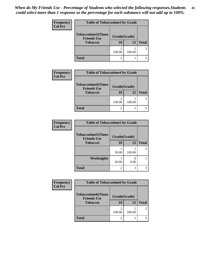| <b>Frequency</b> | <b>Table of Tobaccotime3 by Grade</b>           |              |        |              |
|------------------|-------------------------------------------------|--------------|--------|--------------|
| <b>Col Pct</b>   | <b>Tobaccotime3(Times</b><br><b>Friends Use</b> | Grade(Grade) |        |              |
|                  | <b>Tobacco</b> )                                | 10           | 12     | <b>Total</b> |
|                  |                                                 | 100.00       | 100.00 | 3            |
|                  | <b>Total</b>                                    |              |        |              |

| <b>Frequency</b> | <b>Table of Tobaccotime4 by Grade</b>                               |                          |        |              |
|------------------|---------------------------------------------------------------------|--------------------------|--------|--------------|
| <b>Col Pct</b>   | <b>Tobaccotime4(Times</b><br><b>Friends Use</b><br><b>Tobacco</b> ) | Grade(Grade)<br>12<br>10 |        | <b>Total</b> |
|                  |                                                                     | 100.00                   | 100.00 |              |
|                  | <b>Total</b>                                                        |                          |        |              |

| Frequency      | <b>Table of Tobaccotime5 by Grade</b>           |              |        |              |
|----------------|-------------------------------------------------|--------------|--------|--------------|
| <b>Col Pct</b> | <b>Tobaccotime5(Times</b><br><b>Friends Use</b> | Grade(Grade) |        |              |
|                | <b>Tobacco</b> )                                | <b>10</b>    | 12     | <b>Total</b> |
|                |                                                 | 50.00        | 100.00 | 2            |
|                | Weeknights                                      | 50.00        | 0.00   |              |
|                | <b>Total</b>                                    | 2            |        | 3            |

| Frequency      | <b>Table of Tobaccotime6 by Grade</b>           |              |           |              |
|----------------|-------------------------------------------------|--------------|-----------|--------------|
| <b>Col Pct</b> | <b>Tobaccotime6(Times</b><br><b>Friends Use</b> | Grade(Grade) |           |              |
|                | <b>Tobacco</b> )                                | 10           | <b>12</b> | <b>Total</b> |
|                |                                                 | 100.00       | 100.00    | 3            |
|                | <b>Total</b>                                    |              |           | 3            |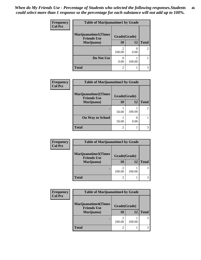| <b>Frequency</b><br><b>Col Pct</b> | <b>Table of Marijuanatime1 by Grade</b>           |              |        |              |  |
|------------------------------------|---------------------------------------------------|--------------|--------|--------------|--|
|                                    | <b>Marijuanatime1(Times</b><br><b>Friends Use</b> | Grade(Grade) |        |              |  |
|                                    | Marijuana)                                        | 10           | 12     | <b>Total</b> |  |
|                                    |                                                   | 2<br>100.00  | 0.00   | 2            |  |
|                                    | Do Not Use                                        | 0.00         | 100.00 |              |  |
|                                    | <b>Total</b>                                      | 2            |        |              |  |

| Frequency      | <b>Table of Marijuanatime2 by Grade</b>           |              |        |                |
|----------------|---------------------------------------------------|--------------|--------|----------------|
| <b>Col Pct</b> | <b>Marijuanatime2(Times</b><br><b>Friends Use</b> | Grade(Grade) |        |                |
|                | Marijuana)                                        | 10           | 12     | <b>Total</b>   |
|                |                                                   | 50.00        | 100.00 | $\overline{2}$ |
|                | <b>On Way to School</b>                           | 50.00        | 0.00   |                |
|                | <b>Total</b>                                      | 2            |        | 3              |

| Frequency      | <b>Table of Marijuanatime3 by Grade</b>    |              |        |              |
|----------------|--------------------------------------------|--------------|--------|--------------|
| <b>Col Pct</b> | Marijuanatime3(Times<br><b>Friends Use</b> | Grade(Grade) |        |              |
|                | Marijuana)                                 | 10           | 12     | <b>Total</b> |
|                |                                            | 100.00       | 100.00 |              |
|                | <b>Total</b>                               | 2            |        |              |

| <b>Frequency</b> | <b>Table of Marijuanatime4 by Grade</b>           |                |        |              |
|------------------|---------------------------------------------------|----------------|--------|--------------|
| <b>Col Pct</b>   | <b>Marijuanatime4(Times</b><br><b>Friends Use</b> | Grade(Grade)   |        |              |
|                  | Marijuana)                                        | 10             | 12     | <b>Total</b> |
|                  |                                                   | 100.00         | 100.00 |              |
|                  | <b>Total</b>                                      | $\overline{2}$ |        |              |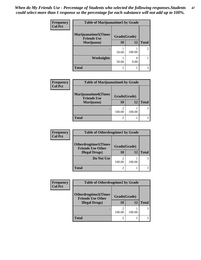| Frequency<br><b>Col Pct</b> | <b>Table of Marijuanatime5 by Grade</b>            |              |        |              |
|-----------------------------|----------------------------------------------------|--------------|--------|--------------|
|                             | <b>Marijuanatime5</b> (Times<br><b>Friends Use</b> | Grade(Grade) |        |              |
|                             | Marijuana)                                         | 10           | 12     | <b>Total</b> |
|                             |                                                    | 50.00        | 100.00 | 2            |
|                             | Weeknights                                         | 50.00        | 0.00   |              |
|                             | <b>Total</b>                                       | 2            |        |              |

| <b>Frequency</b> | <b>Table of Marijuanatime6 by Grade</b>           |                |        |              |
|------------------|---------------------------------------------------|----------------|--------|--------------|
| <b>Col Pct</b>   | <b>Marijuanatime6(Times</b><br><b>Friends Use</b> | Grade(Grade)   |        |              |
|                  | Marijuana)                                        | 10             | 12     | <b>Total</b> |
|                  | ٠                                                 | っ<br>100.00    | 100.00 | 3            |
|                  | <b>Total</b>                                      | $\overline{c}$ |        | 3            |

| <b>Frequency</b> | <b>Table of Otherdrugtime1 by Grade</b>                 |                |        |              |
|------------------|---------------------------------------------------------|----------------|--------|--------------|
| <b>Col Pct</b>   | <b>Otherdrugtime1(Times</b><br><b>Friends Use Other</b> | Grade(Grade)   |        |              |
|                  | <b>Illegal Drugs</b> )                                  | 10             | 12     | <b>Total</b> |
|                  | Do Not Use                                              | 100.00         | 100.00 |              |
|                  | Total                                                   | $\mathfrak{D}$ |        |              |

| <b>Frequency</b> | <b>Table of Otherdrugtime2 by Grade</b>                 |              |        |              |
|------------------|---------------------------------------------------------|--------------|--------|--------------|
| <b>Col Pct</b>   | <b>Otherdrugtime2(Times</b><br><b>Friends Use Other</b> | Grade(Grade) |        |              |
|                  | <b>Illegal Drugs)</b>                                   | 10           | 12     | <b>Total</b> |
|                  |                                                         | 100.00       | 100.00 | 3            |
|                  | Total                                                   |              |        | 3            |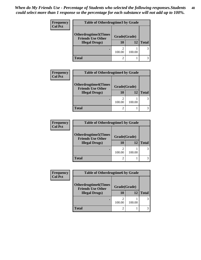| <b>Frequency</b> | <b>Table of Otherdrugtime3 by Grade</b>          |              |        |              |
|------------------|--------------------------------------------------|--------------|--------|--------------|
| <b>Col Pct</b>   | Otherdrugtime3(Times<br><b>Friends Use Other</b> | Grade(Grade) |        |              |
|                  | <b>Illegal Drugs</b> )                           | 10           | 12     | <b>Total</b> |
|                  |                                                  | 100.00       | 100.00 | 3            |
|                  | <b>Total</b>                                     | 2            |        |              |

| <b>Frequency</b> | <b>Table of Otherdrugtime4 by Grade</b>                 |                    |        |              |
|------------------|---------------------------------------------------------|--------------------|--------|--------------|
| <b>Col Pct</b>   | <b>Otherdrugtime4(Times</b><br><b>Friends Use Other</b> | Grade(Grade)<br>10 | 12     | <b>Total</b> |
|                  | <b>Illegal Drugs)</b>                                   |                    |        |              |
|                  | ٠                                                       | 2<br>100.00        | 100.00 | 3            |
|                  | Total                                                   | $\mathfrak{D}$     |        |              |

| <b>Frequency</b> | <b>Table of Otherdrugtime5 by Grade</b>                  |                |        |              |
|------------------|----------------------------------------------------------|----------------|--------|--------------|
| <b>Col Pct</b>   | <b>Otherdrugtime5</b> (Times<br><b>Friends Use Other</b> | Grade(Grade)   |        |              |
|                  | <b>Illegal Drugs</b> )                                   | 10             | 12     | <b>Total</b> |
|                  | ٠                                                        | ∍<br>100.00    | 100.00 | 3            |
|                  | Total                                                    | $\mathfrak{D}$ |        | 3            |

| Frequency      | <b>Table of Otherdrugtime6 by Grade</b>                  |              |        |              |
|----------------|----------------------------------------------------------|--------------|--------|--------------|
| <b>Col Pct</b> | <b>Otherdrugtime6</b> (Times<br><b>Friends Use Other</b> | Grade(Grade) |        |              |
|                | <b>Illegal Drugs</b> )                                   | 10           | 12     | <b>Total</b> |
|                |                                                          | 100.00       | 100.00 |              |
|                | <b>Total</b>                                             | 2            |        |              |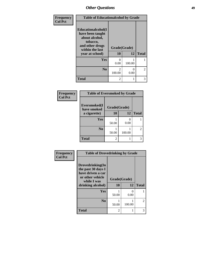| Frequency<br><b>Col Pct</b> | <b>Table of Educationalcohol by Grade</b>                                                                  |                          |           |                |
|-----------------------------|------------------------------------------------------------------------------------------------------------|--------------------------|-----------|----------------|
|                             | Educationalcohol(I<br>have been taught<br>about alcohol,<br>tobacco,<br>and other drugs<br>within the last | Grade(Grade)             |           |                |
|                             | year at school)                                                                                            | 10                       | 12        | <b>Total</b>   |
|                             | Yes                                                                                                        | 0<br>0.00                | 100.00    |                |
|                             | N <sub>0</sub>                                                                                             | $\mathfrak{D}$<br>100.00 | 0<br>0.00 | $\overline{2}$ |
|                             | <b>Total</b>                                                                                               | 2                        |           | 3              |

| Frequency      | <b>Table of Eversmoked by Grade</b>         |                |        |                |
|----------------|---------------------------------------------|----------------|--------|----------------|
| <b>Col Pct</b> | Eversmoked(I<br>Grade(Grade)<br>have smoked |                |        |                |
|                | a cigarette)                                | <b>10</b>      | 12     | <b>Total</b>   |
|                | Yes                                         | 50.00          | 0.00   |                |
|                | N <sub>0</sub>                              | 50.00          | 100.00 | $\overline{2}$ |
|                | <b>Total</b>                                | $\overline{c}$ |        | 3              |

| Frequency      | <b>Table of Drovedrinking by Grade</b>                                                                              |                    |           |                |
|----------------|---------------------------------------------------------------------------------------------------------------------|--------------------|-----------|----------------|
| <b>Col Pct</b> | Drovedrinking(In<br>the past 30 days I<br>have driven a car<br>or other vehicle<br>while I was<br>drinking alcohol) | Grade(Grade)<br>10 | 12        | <b>Total</b>   |
|                | <b>Yes</b>                                                                                                          | 50.00              | 0<br>0.00 |                |
|                | N <sub>0</sub>                                                                                                      | 50.00              | 100.00    | $\mathfrak{D}$ |
|                | <b>Total</b>                                                                                                        | $\overline{2}$     |           | 3              |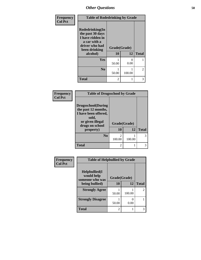| Frequency      | <b>Table of Rodedrinking by Grade</b>                                                                                  |                    |                           |                |  |
|----------------|------------------------------------------------------------------------------------------------------------------------|--------------------|---------------------------|----------------|--|
| <b>Col Pct</b> | Rodedrinking(In<br>the past 30 days<br>I have ridden in<br>a car with a<br>driver who had<br>been drinking<br>alcohol) | Grade(Grade)<br>10 | 12                        | <b>Total</b>   |  |
|                | <b>Yes</b>                                                                                                             | 50.00              | $\mathbf{\Omega}$<br>0.00 |                |  |
|                | N <sub>0</sub>                                                                                                         | 50.00              | 100.00                    | $\overline{2}$ |  |
|                | <b>Total</b>                                                                                                           | $\mathfrak{D}$     |                           | 3              |  |

## **Frequency Col Pct**

| <b>Table of Drugsschool by Grade</b>                                                                                      |              |        |              |
|---------------------------------------------------------------------------------------------------------------------------|--------------|--------|--------------|
| <b>Drugsschool</b> (During<br>the past 12 months,<br>I have been offered,<br>sold,<br>or given illegal<br>drugs on school | Grade(Grade) |        |              |
| property)                                                                                                                 | 10           | 12     | <b>Total</b> |
| N <sub>0</sub>                                                                                                            | 2<br>100.00  | 100.00 |              |
| Total                                                                                                                     | 2            |        |              |

| Frequency      | <b>Table of Helpbullied by Grade</b>                 |              |                           |                             |
|----------------|------------------------------------------------------|--------------|---------------------------|-----------------------------|
| <b>Col Pct</b> | $Helpb$ ullied $(I$<br>would help<br>someone who was | Grade(Grade) |                           |                             |
|                | being bullied)                                       | 10           | 12                        | <b>Total</b>                |
|                | <b>Strongly Agree</b>                                | 50.00        | 100.00                    | $\mathcal{D}_{\mathcal{L}}$ |
|                | <b>Strongly Disagree</b>                             | 50.00        | $\mathbf{\Omega}$<br>0.00 |                             |
|                | <b>Total</b>                                         | 2            |                           |                             |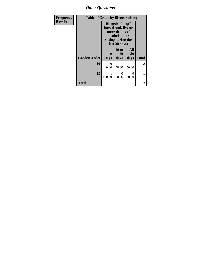*Other Questions* **51**

| <b>Frequency</b> | <b>Table of Grade by Bingedrinking</b> |                                                                                                                          |                     |                          |                |
|------------------|----------------------------------------|--------------------------------------------------------------------------------------------------------------------------|---------------------|--------------------------|----------------|
| <b>Row Pct</b>   |                                        | <b>Bingedrinking</b> (I<br>have drunk five or<br>more drinks of<br>alcohol at one<br>sitting during the<br>last 30 days) |                     |                          |                |
|                  | Grade(Grade)                           | 0<br><b>Days</b>                                                                                                         | 10 to<br>19<br>days | <b>All</b><br>30<br>days | <b>Total</b>   |
|                  | 10                                     | $\Omega$<br>0.00                                                                                                         | 50.00               | 50.00                    | $\overline{2}$ |
|                  | 12                                     | 100.00                                                                                                                   | 0<br>0.00           | ∩<br>0.00                | 1              |
|                  | <b>Total</b>                           |                                                                                                                          | 1                   |                          | 3              |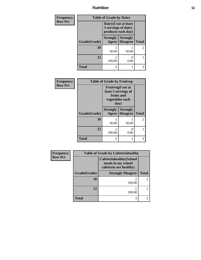# *Nutrition* **52**

| Frequency      | <b>Table of Grade by Dairy</b> |                          |                                                                    |                |
|----------------|--------------------------------|--------------------------|--------------------------------------------------------------------|----------------|
| <b>Row Pct</b> |                                |                          | Dairy (I eat at least<br>3 servings of dairy<br>products each day) |                |
|                | Grade(Grade)                   | <b>Strongly</b><br>Agree | <b>Strongly</b><br><b>Disagree</b>                                 | <b>Total</b>   |
|                | 10                             | 50.00                    | 50.00                                                              | $\overline{2}$ |
|                | 12                             | 100.00                   | 0.00                                                               |                |
|                | <b>Total</b>                   | $\mathcal{L}$            |                                                                    | 3              |

| Frequency      | <b>Table of Grade by Fruitveg</b> |                          |                                                             |              |
|----------------|-----------------------------------|--------------------------|-------------------------------------------------------------|--------------|
| <b>Row Pct</b> |                                   | fruits and<br>day)       | Fruitveg(I eat at<br>least 5 servings of<br>vegetables each |              |
|                | Grade(Grade)                      | <b>Strongly</b><br>Agree | <b>Strongly</b><br><b>Disagree</b>                          | <b>Total</b> |
|                | 10                                | 50.00                    | 50.00                                                       | 2            |
|                | 12                                | 100.00                   | $\mathbf{\Omega}$<br>0.00                                   |              |
|                | <b>Total</b>                      | 2                        |                                                             | 3            |

| <b>Frequency</b> | <b>Table of Grade by Cafeteriahealthy</b> |                                                                                 |                             |  |
|------------------|-------------------------------------------|---------------------------------------------------------------------------------|-----------------------------|--|
| <b>Row Pct</b>   |                                           | <b>Cafeteriahealthy</b> (School<br>meals in my school<br>cafeteria are healthy) |                             |  |
|                  | Grade(Grade)                              | <b>Strongly Disagree</b>                                                        | <b>Total</b>                |  |
|                  | 10                                        | 2<br>100.00                                                                     | $\mathcal{D}_{\mathcal{A}}$ |  |
|                  | 12                                        | 100.00                                                                          |                             |  |
|                  | <b>Total</b>                              | 3                                                                               |                             |  |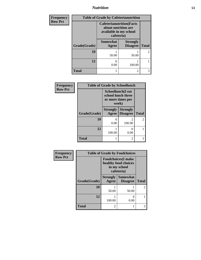*Nutrition* **53**

| <b>Frequency</b> |              |                                                                                                 | <b>Table of Grade by Cafeterianutrition</b> |                |
|------------------|--------------|-------------------------------------------------------------------------------------------------|---------------------------------------------|----------------|
| <b>Row Pct</b>   |              | <b>Cafeterianutrition</b> (Facts<br>about nutrition are<br>available in my school<br>cafeteria) |                                             |                |
|                  | Grade(Grade) | <b>Somewhat</b><br>Agree                                                                        | <b>Strongly</b><br><b>Disagree</b>          | <b>Total</b>   |
|                  | 10           | 50.00                                                                                           | 50.00                                       | $\mathfrak{D}$ |
|                  | 12           | 0<br>0.00                                                                                       | 100.00                                      |                |
|                  | <b>Total</b> |                                                                                                 | $\overline{c}$                              | 3              |

| Frequency      | <b>Table of Grade by Schoollunch</b> |                             |                                                |                |
|----------------|--------------------------------------|-----------------------------|------------------------------------------------|----------------|
| <b>Row Pct</b> |                                      | school lunch three<br>week) | <b>Schoollunch</b> (I eat<br>or more times per |                |
|                | Grade(Grade)                         | <b>Strongly</b>             | <b>Strongly</b><br><b>Agree</b>   Disagree     | <b>Total</b>   |
|                | 10                                   | 0<br>0.00                   | $\mathfrak{D}$<br>100.00                       | $\mathfrak{D}$ |
|                | 12                                   | 100.00                      | 0<br>0.00                                      |                |
|                | Total                                |                             | $\mathfrak{D}$                                 | 3              |

| Frequency      | <b>Table of Grade by Foodchoices</b> |                                                                                  |                                    |                |
|----------------|--------------------------------------|----------------------------------------------------------------------------------|------------------------------------|----------------|
| <b>Row Pct</b> |                                      | <b>Foodchoices</b> (I make<br>healthy food choices<br>in my school<br>cafeteria) |                                    |                |
|                | Grade(Grade)                         | <b>Strongly</b><br>Agree                                                         | <b>Somewhat</b><br><b>Disagree</b> | <b>Total</b>   |
|                | 10                                   | 50.00                                                                            | 50.00                              | $\overline{2}$ |
|                | 12                                   | 100.00                                                                           | $\mathbf{\Omega}$<br>0.00          |                |
|                | <b>Total</b>                         | 2                                                                                | 1                                  | 3              |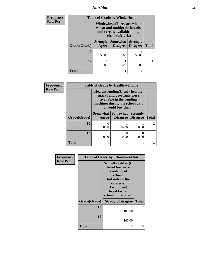*Nutrition* **54**

| <b>Frequency</b> | <b>Table of Grade by Wholewheat</b> |                                                                                                                |                                 |                 |                |
|------------------|-------------------------------------|----------------------------------------------------------------------------------------------------------------|---------------------------------|-----------------|----------------|
| <b>Row Pct</b>   |                                     | Wholewheat (There are whole<br>wheat and multigrain breads<br>and cereals available in my<br>school cafeteria) |                                 |                 |                |
|                  | Grade(Grade)                        | <b>Strongly</b><br><b>Agree</b>                                                                                | Somewhat<br>Disagree   Disagree | <b>Strongly</b> | <b>Total</b>   |
|                  | 10                                  | 50.00                                                                                                          | 0.00                            | 50.00           | $\overline{2}$ |
|                  | 12                                  | 0.00                                                                                                           | 100.00                          | 0.00            |                |
|                  | <b>Total</b>                        |                                                                                                                |                                 |                 | 3              |

| <b>Frequency</b> | <b>Table of Grade by Healthyvending</b> |                                                                                                                                                         |                                        |                                    |              |
|------------------|-----------------------------------------|---------------------------------------------------------------------------------------------------------------------------------------------------------|----------------------------------------|------------------------------------|--------------|
| <b>Row Pct</b>   |                                         | <b>Healthyvending</b> (If only healthy<br>snacks and beverages were<br>available in the vending<br>machines during the school day,<br>I would buy them) |                                        |                                    |              |
|                  | Grade(Grade)                            | Agree                                                                                                                                                   | Somewhat   Somewhat<br><b>Disagree</b> | <b>Strongly</b><br><b>Disagree</b> | <b>Total</b> |
|                  | 10                                      | 0.00                                                                                                                                                    | 50.00                                  | 50.00                              | $2^{\circ}$  |
|                  | 12                                      | 100.00                                                                                                                                                  | $\mathcal{O}$<br>0.00                  | 0<br>0.00                          |              |
|                  | <b>Total</b>                            |                                                                                                                                                         |                                        |                                    | 3            |

| Frequency      |              | <b>Table of Grade by Schoolbreakfast</b>                                                                                                                     |              |  |
|----------------|--------------|--------------------------------------------------------------------------------------------------------------------------------------------------------------|--------------|--|
| <b>Row Pct</b> |              | Schoolbreakfast(If<br><b>breakfast</b> were<br>available at<br>school,<br>but outside the<br>cafeteria,<br>I would eat<br>breakfast at<br>school more often) |              |  |
|                | Grade(Grade) | <b>Strongly Disagree</b>                                                                                                                                     | <b>Total</b> |  |
|                | 10           | $\mathcal{D}_{\mathcal{L}}$<br>100.00                                                                                                                        | 2            |  |
|                | 12           | 100.00                                                                                                                                                       | 1            |  |
|                | Total        | 3                                                                                                                                                            | 3            |  |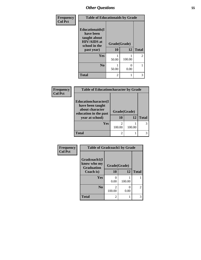| Frequency<br><b>Col Pct</b> | <b>Table of Educationaids by Grade</b>                                                                    |                          |           |                |  |
|-----------------------------|-----------------------------------------------------------------------------------------------------------|--------------------------|-----------|----------------|--|
|                             | <b>Educationaids</b> (I<br>have been<br>taught about<br><b>HIV/AIDS</b> at<br>school in the<br>past year) | Grade(Grade)<br>10<br>12 |           | <b>Total</b>   |  |
|                             | Yes                                                                                                       | 50.00                    | 100.00    | $\overline{2}$ |  |
|                             | N <sub>0</sub>                                                                                            | 50.00                    | 0<br>0.00 |                |  |
|                             | <b>Total</b>                                                                                              | 2                        |           | 3              |  |

| Frequency | <b>Table of Educationcharacter by Grade</b>                                                             |                    |        |              |  |
|-----------|---------------------------------------------------------------------------------------------------------|--------------------|--------|--------------|--|
| Col Pct   | Educationcharacter(I<br>have been taught<br>about character<br>education in the past<br>year at school) | Grade(Grade)<br>10 | 12     | <b>Total</b> |  |
|           | <b>Yes</b>                                                                                              | 100.00             | 100.00 |              |  |
|           | <b>Total</b>                                                                                            | 2                  |        |              |  |

| <b>Frequency</b> | <b>Table of Gradcoach1 by Grade</b> |                          |        |                |  |
|------------------|-------------------------------------|--------------------------|--------|----------------|--|
| <b>Col Pct</b>   | Gradcoach1(I<br>know who my         |                          |        |                |  |
|                  | <b>Graduation</b><br>Coach is)      | Grade(Grade)<br>10       | 12     | <b>Total</b>   |  |
|                  | Yes                                 | 0.00                     | 100.00 |                |  |
|                  | N <sub>0</sub>                      | $\mathfrak{D}$<br>100.00 | 0.00   | $\overline{2}$ |  |
|                  | <b>Total</b>                        | 2                        |        | 3              |  |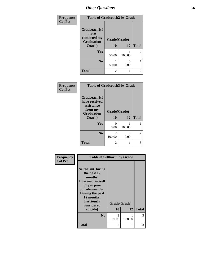| <b>Frequency</b> | <b>Table of Gradcoach2 by Grade</b> |              |        |              |
|------------------|-------------------------------------|--------------|--------|--------------|
| <b>Col Pct</b>   |                                     |              |        |              |
|                  | Gradcoach2(I<br>have                |              |        |              |
|                  | contacted my<br><b>Graduation</b>   | Grade(Grade) |        |              |
|                  | Coach)                              | 10           | 12     | <b>Total</b> |
|                  | Yes                                 | 50.00        | 100.00 | 2            |
|                  | N <sub>0</sub>                      | 50.00        | 0.00   |              |
|                  | <b>Total</b>                        | 2            |        | 3            |

| Frequency      | <b>Table of Gradcoach3 by Grade</b>                                                   |                    |           |              |
|----------------|---------------------------------------------------------------------------------------|--------------------|-----------|--------------|
| <b>Col Pct</b> | Gradcoach3(I<br>have received<br>assistance<br>from my<br><b>Graduation</b><br>Coach) | Grade(Grade)<br>10 | 12        | <b>Total</b> |
|                | Yes                                                                                   | O<br>0.00          | 100.00    |              |
|                | N <sub>0</sub>                                                                        | 2<br>100.00        | 0<br>0.00 | 2            |
|                | <b>Total</b>                                                                          | 2                  | 1         | 3            |

| Frequency      | <b>Table of Selfharm by Grade</b>                                                                                                                                          |              |        |              |
|----------------|----------------------------------------------------------------------------------------------------------------------------------------------------------------------------|--------------|--------|--------------|
| <b>Col Pct</b> | <b>Selfharm</b> (During<br>the past 12<br>months,<br>I harmed myself<br>on purpose<br><b>Suicideconsider</b><br>During the past<br>12 months,<br>I seriously<br>considered | Grade(Grade) |        |              |
|                | suicide)                                                                                                                                                                   | 10           | 12     | <b>Total</b> |
|                | N <sub>0</sub>                                                                                                                                                             | 2<br>100.00  | 100.00 | 3            |
|                | Total                                                                                                                                                                      | 2            |        | 3            |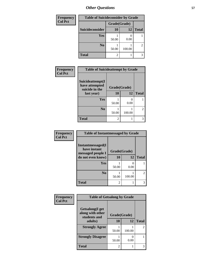| <b>Frequency</b> | <b>Table of Suicideconsider by Grade</b> |              |        |              |
|------------------|------------------------------------------|--------------|--------|--------------|
| <b>Col Pct</b>   |                                          | Grade(Grade) |        |              |
|                  | Suicideconsider                          | <b>10</b>    | 12     | <b>Total</b> |
|                  | Yes                                      | 50.00        | 0.00   |              |
|                  | N <sub>0</sub>                           | 50.00        | 100.00 | 2            |
|                  | <b>Total</b>                             | 2            |        | 3            |

| Frequency      | <b>Table of Suicideattempt by Grade</b>              |                |        |                |
|----------------|------------------------------------------------------|----------------|--------|----------------|
| <b>Col Pct</b> | Suicideattempt(I<br>have attempted<br>suicide in the | Grade(Grade)   |        |                |
|                | last year)                                           | 10             | 12     | <b>Total</b>   |
|                | Yes                                                  | 50.00          | 0.00   |                |
|                | N <sub>0</sub>                                       | 50.00          | 100.00 | $\overline{2}$ |
|                | <b>Total</b>                                         | $\mathfrak{D}$ |        | 3              |

| Frequency      | <b>Table of Instantmessaged by Grade</b>                                    |                    |              |                |  |  |
|----------------|-----------------------------------------------------------------------------|--------------------|--------------|----------------|--|--|
| <b>Col Pct</b> | Instantmessaged(I<br>have instant<br>messaged people I<br>do not even know) | Grade(Grade)<br>10 | <b>Total</b> |                |  |  |
|                | Yes                                                                         | 50.00              | 0.00         |                |  |  |
|                | N <sub>0</sub>                                                              | 50.00              | 100.00       | $\mathfrak{D}$ |  |  |
|                | <b>Total</b>                                                                | $\overline{2}$     |              |                |  |  |

| Frequency      | <b>Table of Getsalong by Grade</b>                  |              |        |                |
|----------------|-----------------------------------------------------|--------------|--------|----------------|
| <b>Col Pct</b> | Getsalong(I get<br>along with other<br>students and | Grade(Grade) |        |                |
|                | adults)                                             | 10           | 12     | <b>Total</b>   |
|                | <b>Strongly Agree</b>                               | 50.00        | 100.00 | $\overline{2}$ |
|                | <b>Strongly Disagree</b>                            | 50.00        | 0.00   |                |
|                | <b>Total</b>                                        | 2            |        | 3              |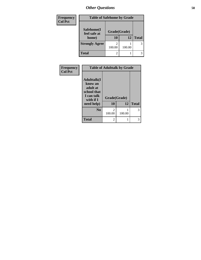| Frequency      | <b>Table of Safehome by Grade</b> |                          |        |              |
|----------------|-----------------------------------|--------------------------|--------|--------------|
| <b>Col Pct</b> | Safehome(I                        | Grade(Grade)             |        |              |
|                | feel safe at<br>home)             | <b>10</b>                | 12     | <b>Total</b> |
|                | <b>Strongly Agree</b>             | $\mathfrak{D}$<br>100.00 | 100.00 | 3            |
|                | <b>Total</b>                      | 2                        |        |              |

| Frequency      | <b>Table of Adulttalk by Grade</b>                                                                 |                                       |        |              |  |
|----------------|----------------------------------------------------------------------------------------------------|---------------------------------------|--------|--------------|--|
| <b>Col Pct</b> | <b>Adulttalk</b> (I<br>know an<br>adult at<br>school that<br>I can talk<br>with if I<br>need help) | Grade(Grade)<br>10                    | 12     | <b>Total</b> |  |
|                |                                                                                                    |                                       |        |              |  |
|                | N <sub>0</sub>                                                                                     | $\mathcal{D}_{\mathcal{L}}$<br>100.00 | 100.00 | 3            |  |
|                | <b>Total</b>                                                                                       | 2                                     |        | 3            |  |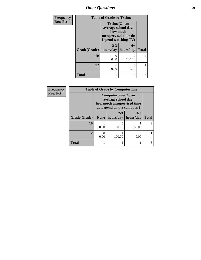| <b>Frequency</b> | <b>Table of Grade by Tytime</b>      |                                                                                                        |                |                |  |
|------------------|--------------------------------------|--------------------------------------------------------------------------------------------------------|----------------|----------------|--|
| <b>Row Pct</b>   |                                      | <b>Tvtime(On an</b><br>average school day,<br>how much<br>unsupervised time do<br>I spend watching TV) |                |                |  |
|                  | Grade(Grade)   hours/day   hours/day | $2 - 3$                                                                                                | $6+$           | <b>Total</b>   |  |
|                  | 10                                   | 0.00                                                                                                   | っ<br>100.00    | $\overline{2}$ |  |
|                  | 12                                   | 100.00                                                                                                 | 0.00           |                |  |
|                  | <b>Total</b>                         |                                                                                                        | $\mathfrak{D}$ | 3              |  |

| Frequency      |              | <b>Table of Grade by Computertime</b>                                                                  |                      |                      |              |
|----------------|--------------|--------------------------------------------------------------------------------------------------------|----------------------|----------------------|--------------|
| <b>Row Pct</b> |              | Computertime(On an<br>average school day,<br>how much unsupervised time<br>do I spend on the computer) |                      |                      |              |
|                | Grade(Grade) | None $ $                                                                                               | $2 - 3$<br>hours/day | $4 - 5$<br>hours/day | <b>Total</b> |
|                | 10           | 50.00                                                                                                  | 0<br>0.00            | 50.00                |              |
|                | 12           | 0.00                                                                                                   | 100.00               | 0.00                 |              |
|                | <b>Total</b> |                                                                                                        |                      |                      |              |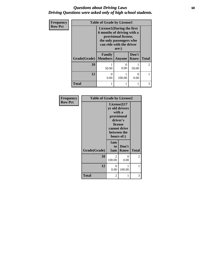## *Questions about Driving Laws* **60** *Driving Questions were asked only of high school students.*

| Frequency<br><b>Row Pct</b> |                        | <b>Table of Grade by License1</b><br>License1(During the first<br>6 months of driving with a<br>provisional license,<br>the only passengers who<br>can ride with the driver<br>are:) |                           |                      |                |
|-----------------------------|------------------------|--------------------------------------------------------------------------------------------------------------------------------------------------------------------------------------|---------------------------|----------------------|----------------|
|                             | Grade(Grade)   Members | Family                                                                                                                                                                               | <b>Anyone</b>             | Don't<br><b>Know</b> | <b>Total</b>   |
|                             | 10                     | 50.00                                                                                                                                                                                | $\mathbf{\Omega}$<br>0.00 | 50.00                | $\overline{c}$ |
|                             | 12                     | ∩<br>0.00                                                                                                                                                                            | 100.00                    | 0.00                 |                |
|                             | <b>Total</b>           |                                                                                                                                                                                      |                           |                      | 3              |

| Frequency      | <b>Table of Grade by License2</b> |                                                                                                                            |                      |              |
|----------------|-----------------------------------|----------------------------------------------------------------------------------------------------------------------------|----------------------|--------------|
| <b>Row Pct</b> |                                   | License2(17<br>yr old drivers<br>with a<br>provisional<br>driver's<br>license<br>cannot drive<br>between the<br>hours of:) |                      |              |
|                | Grade(Grade)                      | 1am<br>to<br>5am                                                                                                           | Don't<br><b>Know</b> | <b>Total</b> |
|                | 10                                | $\mathcal{L}$<br>100.00                                                                                                    | 0<br>0.00            | 2            |
|                | 12                                | 0<br>0.00                                                                                                                  | 1<br>100.00          | 1            |
|                | <b>Total</b>                      | 2                                                                                                                          | 1                    | 3            |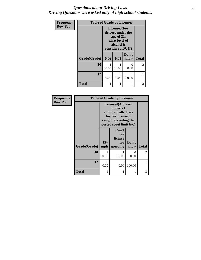## *Questions about Driving Laws* **61** *Driving Questions were asked only of high school students.*

| Frequency      | <b>Table of Grade by License3</b> |                                                                                                    |           |               |                |
|----------------|-----------------------------------|----------------------------------------------------------------------------------------------------|-----------|---------------|----------------|
| <b>Row Pct</b> |                                   | License3(For<br>drivers under the<br>age of 21,<br>what level of<br>alcohol is<br>considered DUI?) |           |               |                |
|                | Grade(Grade)                      | 0.06                                                                                               | 0.08      | Don't<br>know | <b>Total</b>   |
|                | 10                                | 50.00                                                                                              | 50.00     | 0.00          | $\overline{2}$ |
|                | 12                                | 0<br>0.00                                                                                          | 0<br>0.00 | 100.00        |                |
|                | <b>Total</b>                      |                                                                                                    |           | 1             | 3              |

| Frequency      | <b>Table of Grade by License4</b> |                                                                                                                               |                                             |               |                |
|----------------|-----------------------------------|-------------------------------------------------------------------------------------------------------------------------------|---------------------------------------------|---------------|----------------|
| <b>Row Pct</b> |                                   | License4(A driver<br>under 21<br>automatically loses<br>his/her license if<br>caught exceeding the<br>posted speet limit by:) |                                             |               |                |
|                | Grade(Grade)                      | $15+$<br>mph                                                                                                                  | Can't<br>lose<br>license<br>for<br>speeding | Don't<br>know | <b>Total</b>   |
|                | 10                                | 50.00                                                                                                                         | 1<br>50.00                                  | 0<br>0.00     | $\mathfrak{D}$ |
|                | 12                                | 0<br>0.00                                                                                                                     | 0<br>0.00                                   | 100.00        | 1              |
|                | <b>Total</b>                      |                                                                                                                               | 1                                           | 1             | 3              |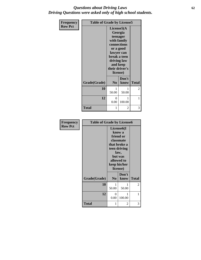## *Questions about Driving Laws* **62** *Driving Questions were asked only of high school students.*

| <b>Frequency</b> | <b>Table of Grade by License5</b> |                                                                                                                                                                      |               |               |
|------------------|-----------------------------------|----------------------------------------------------------------------------------------------------------------------------------------------------------------------|---------------|---------------|
| <b>Row Pct</b>   |                                   | License5(A)<br>Georgia<br>teenager<br>with family<br>connections<br>or a good<br>lawyer can<br>break a teen<br>driving law<br>and keep<br>their driver's<br>license) |               |               |
|                  | Grade(Grade)                      | N <sub>0</sub>                                                                                                                                                       | Don't<br>know | <b>Total</b>  |
|                  | 10                                | 1<br>50.00                                                                                                                                                           | 1<br>50.00    | $\mathcal{L}$ |
|                  | 12                                | $\theta$<br>0.00                                                                                                                                                     | 1<br>100.00   | 1             |
|                  | <b>Total</b>                      | 1                                                                                                                                                                    | 2             | 3             |

| <b>Frequency</b> | <b>Table of Grade by License6</b> |                                                                                                                                                          |               |              |
|------------------|-----------------------------------|----------------------------------------------------------------------------------------------------------------------------------------------------------|---------------|--------------|
| <b>Row Pct</b>   |                                   | License <sub>6</sub> (I<br>know a<br>friend or<br>classmate<br>that broke a<br>teen driving<br>law,<br>but was<br>allowed to<br>keep his/her<br>license) |               |              |
|                  | Grade(Grade)                      | N <sub>0</sub>                                                                                                                                           | Don't<br>know | <b>Total</b> |
|                  | 10                                | 1<br>50.00                                                                                                                                               | 1<br>50.00    | 2            |
|                  | 12                                | 0<br>0.00                                                                                                                                                | 1<br>100.00   | 1            |
|                  | Total                             | 1                                                                                                                                                        | 2             | 3            |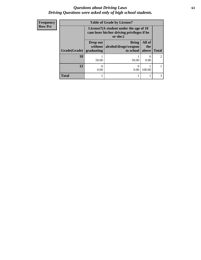## *Questions about Driving Laws* **63** *Driving Questions were asked only of high school students.*

| <b>Frequency</b> |              | <b>Table of Grade by License7</b>                                                       |                                      |               |                |  |
|------------------|--------------|-----------------------------------------------------------------------------------------|--------------------------------------|---------------|----------------|--|
| <b>Row Pct</b>   |              | License $7(A$ student under the age of 18<br>cam loser his/her driving privileges if he |                                      |               |                |  |
|                  |              | Drop out<br>without                                                                     | <b>Bring</b><br>alcohol/drugs/weapon | All of<br>the |                |  |
|                  | Grade(Grade) | graduating                                                                              | to school                            | above         | <b>Total</b>   |  |
|                  | 10           | 50.00                                                                                   | 50.00                                | 0.00          | $\mathfrak{D}$ |  |
|                  | 12           | $\left( \right)$<br>0.00                                                                | 0.00                                 | 100.00        |                |  |
|                  | <b>Total</b> |                                                                                         |                                      |               | 3              |  |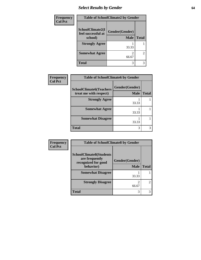# *Select Results by Gender* **64**

| <b>Frequency</b> | <b>Table of SchoolClimate2 by Gender</b>          |                               |                |  |
|------------------|---------------------------------------------------|-------------------------------|----------------|--|
| <b>Col Pct</b>   | SchoolClimate2(I<br>feel successful at<br>school) | Gender(Gender)<br><b>Male</b> | <b>Total</b>   |  |
|                  | <b>Strongly Agree</b>                             | 33.33                         |                |  |
|                  | <b>Somewhat Agree</b>                             | 66.67                         | $\overline{2}$ |  |
|                  | <b>Total</b>                                      | 3                             | 3              |  |

| Frequency      | <b>Table of SchoolClimate6 by Gender</b>                 |                               |              |  |
|----------------|----------------------------------------------------------|-------------------------------|--------------|--|
| <b>Col Pct</b> | <b>SchoolClimate6(Teachers</b><br>treat me with respect) | Gender(Gender)<br><b>Male</b> | <b>Total</b> |  |
|                | <b>Strongly Agree</b>                                    | 33.33                         |              |  |
|                | <b>Somewhat Agree</b>                                    | 33.33                         |              |  |
|                | <b>Somewhat Disagree</b>                                 | 33.33                         |              |  |
|                | <b>Total</b>                                             | 3                             |              |  |

| Frequency      | <b>Table of SchoolClimate8 by Gender</b>                                |                |                |  |  |
|----------------|-------------------------------------------------------------------------|----------------|----------------|--|--|
| <b>Col Pct</b> | <b>SchoolClimate8(Students</b><br>are frequently<br>recognized for good | Gender(Gender) |                |  |  |
|                | behavior)                                                               | <b>Male</b>    | <b>Total</b>   |  |  |
|                | <b>Somewhat Disagree</b>                                                | 33.33          |                |  |  |
|                | <b>Strongly Disagree</b>                                                | 2<br>66.67     | $\mathfrak{D}$ |  |  |
|                | <b>Total</b>                                                            | 3              | 3              |  |  |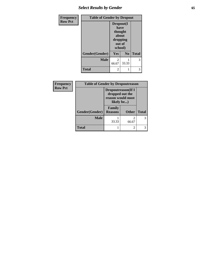# *Select Results by Gender* **65**

| <b>Frequency</b> |                | <b>Table of Gender by Dropout</b> |                                                     |              |
|------------------|----------------|-----------------------------------|-----------------------------------------------------|--------------|
| <b>Row Pct</b>   |                | have<br>school)                   | Dropout(I<br>thought<br>about<br>dropping<br>out of |              |
|                  | Gender(Gender) | Yes                               | N <sub>0</sub>                                      | <b>Total</b> |
|                  | <b>Male</b>    | $\mathfrak{D}$<br>66.67           | 33.33                                               | 3            |
|                  | <b>Total</b>   | $\overline{c}$                    |                                                     |              |

| Frequency      | <b>Table of Gender by Dropoutreason</b> |                                                                                  |              |              |
|----------------|-----------------------------------------|----------------------------------------------------------------------------------|--------------|--------------|
| <b>Row Pct</b> |                                         | <b>Dropoutreason</b> (If I<br>dropped out the<br>reason would most<br>likely be) |              |              |
|                | Gender(Gender)                          | Family<br><b>Reasons</b>                                                         | <b>Other</b> | <b>Total</b> |
|                | <b>Male</b>                             | 33.33                                                                            | 2<br>66.67   | 3            |
|                | <b>Total</b>                            |                                                                                  | 2            |              |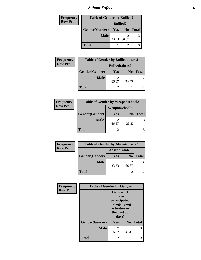*School Safety* **66**

| <b>Frequency</b> | <b>Table of Gender by Bullied2</b> |                 |                |              |
|------------------|------------------------------------|-----------------|----------------|--------------|
| <b>Row Pct</b>   |                                    | <b>Bullied2</b> |                |              |
|                  | Gender(Gender)                     | Yes             | N <sub>0</sub> | <b>Total</b> |
|                  | <b>Male</b>                        | 33.33           | 66.67          |              |
|                  | <b>Total</b>                       |                 |                |              |

| Frequency      | <b>Table of Gender by Bulliedothers2</b> |                       |                |              |
|----------------|------------------------------------------|-----------------------|----------------|--------------|
| <b>Row Pct</b> |                                          | <b>Bulliedothers2</b> |                |              |
|                | Gender(Gender)                           | Yes                   | N <sub>0</sub> | <b>Total</b> |
|                | <b>Male</b>                              | 66.67                 | 33.33          |              |
|                | <b>Total</b>                             |                       |                |              |

| <b>Frequency</b> | <b>Table of Gender by Weaponschool2</b> |               |                |              |
|------------------|-----------------------------------------|---------------|----------------|--------------|
| <b>Row Pct</b>   |                                         | Weaponschool2 |                |              |
|                  | Gender(Gender)                          | <b>Yes</b>    | N <sub>0</sub> | <b>Total</b> |
|                  | <b>Male</b>                             | 66.67         | 33.33          |              |
|                  | <b>Total</b>                            |               |                |              |

| Frequency      | <b>Table of Gender by Absentunsafe2</b> |               |                |              |
|----------------|-----------------------------------------|---------------|----------------|--------------|
| <b>Row Pct</b> |                                         | Absentunsafe2 |                |              |
|                | Gender(Gender)                          | <b>Yes</b>    | N <sub>0</sub> | <b>Total</b> |
|                | <b>Male</b>                             | 33.33         | 66.67          |              |
|                | <b>Total</b>                            |               |                |              |

| Frequency      | <b>Table of Gender by Gangself</b> |                                                                                                        |          |              |
|----------------|------------------------------------|--------------------------------------------------------------------------------------------------------|----------|--------------|
| <b>Row Pct</b> |                                    | <b>Gangself</b> (I<br>have<br>participated<br>in illegal gang<br>activities in<br>the past 30<br>days) |          |              |
|                | Gender(Gender)                     | Yes                                                                                                    | $\bf No$ | <b>Total</b> |
|                | <b>Male</b>                        | 2<br>66.67                                                                                             | 33.33    | 3            |
|                | <b>Total</b>                       | 2                                                                                                      |          |              |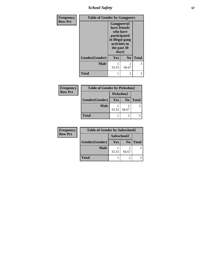*School Safety* **67**

| Frequency      | <b>Table of Gender by Gangpeers</b> |                                                                                                                             |                                   |              |
|----------------|-------------------------------------|-----------------------------------------------------------------------------------------------------------------------------|-----------------------------------|--------------|
| <b>Row Pct</b> |                                     | <b>Gangpeers</b> (I<br>have friends<br>who have<br>participated<br>in illegal gang<br>activities in<br>the past 30<br>days) |                                   |              |
|                | Gender(Gender)                      | Yes                                                                                                                         | N <sub>0</sub>                    | <b>Total</b> |
|                | <b>Male</b>                         | 33.33                                                                                                                       | $\overline{\mathcal{L}}$<br>66.67 | 3            |
|                | <b>Total</b>                        | 1                                                                                                                           | 2                                 | 3            |

| Frequency      | <b>Table of Gender by Pickedon2</b> |            |                |              |  |
|----------------|-------------------------------------|------------|----------------|--------------|--|
| <b>Row Pct</b> | Pickedon2                           |            |                |              |  |
|                | Gender(Gender)                      | <b>Yes</b> | N <sub>0</sub> | <b>Total</b> |  |
|                | <b>Male</b>                         | 33.33      | 66.67          |              |  |
|                | <b>Total</b>                        |            |                |              |  |

| Frequency                     | <b>Table of Gender by Safeschool2</b> |       |                |              |
|-------------------------------|---------------------------------------|-------|----------------|--------------|
| <b>Row Pct</b><br>Safeschool2 |                                       |       |                |              |
|                               | Gender(Gender)                        | Yes   | N <sub>0</sub> | <b>Total</b> |
|                               | <b>Male</b>                           | 33.33 | 66.67          |              |
|                               | <b>Total</b>                          |       |                |              |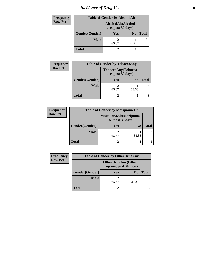# *Incidence of Drug Use* 68

| <b>Frequency</b> | <b>Table of Gender by AlcoholAlt</b> |                                          |                |              |
|------------------|--------------------------------------|------------------------------------------|----------------|--------------|
| <b>Row Pct</b>   |                                      | AlcoholAlt(Alcohol<br>use, past 30 days) |                |              |
|                  | Gender(Gender)                       | <b>Yes</b>                               | N <sub>0</sub> | <b>Total</b> |
|                  | <b>Male</b>                          | 2<br>66.67                               | 33.33          | 3            |
|                  | <b>Total</b>                         | 2                                        |                |              |

| <b>Frequency</b> | <b>Table of Gender by TobaccoAny</b> |                                          |                |              |
|------------------|--------------------------------------|------------------------------------------|----------------|--------------|
| <b>Row Pct</b>   |                                      | TobaccoAny(Tobacco<br>use, past 30 days) |                |              |
|                  | Gender(Gender)                       | <b>Yes</b>                               | N <sub>0</sub> | <b>Total</b> |
|                  | <b>Male</b>                          | 66.67                                    | 33.33          |              |
|                  | <b>Total</b>                         | 2                                        |                |              |

| <b>Frequency</b> | <b>Table of Gender by MarijuanaAlt</b> |                                              |                |              |
|------------------|----------------------------------------|----------------------------------------------|----------------|--------------|
| <b>Row Pct</b>   |                                        | MarijuanaAlt(Marijuana<br>use, past 30 days) |                |              |
|                  | Gender(Gender)                         | <b>Yes</b>                                   | N <sub>0</sub> | <b>Total</b> |
|                  | <b>Male</b>                            | 66.67                                        | 33.33          |              |
|                  | <b>Total</b>                           |                                              |                |              |

| Frequency      |                | <b>Table of Gender by OtherDrugAny</b>               |                |              |
|----------------|----------------|------------------------------------------------------|----------------|--------------|
| <b>Row Pct</b> |                | <b>OtherDrugAny(Other</b><br>drug use, past 30 days) |                |              |
|                | Gender(Gender) | <b>Yes</b>                                           | N <sub>0</sub> | <b>Total</b> |
|                | <b>Male</b>    | 66.67                                                | 33.33          |              |
|                | <b>Total</b>   |                                                      |                |              |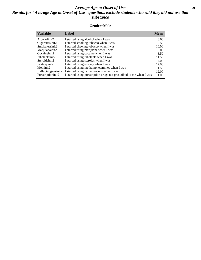# *Average Age at Onset of Use* **69** *Results for "Average Age at Onset of Use" questions exclude students who said they did not use that substance*

## **Gender=Male**

| <b>Variable</b>                 | <b>Label</b>                                                       | <b>Mean</b> |
|---------------------------------|--------------------------------------------------------------------|-------------|
| Alcoholinit2                    | I started using alcohol when I was                                 | 8.00        |
| Cigarettesinit2                 | I started smoking tobacco when I was                               | 9.50        |
| Smokelessinit2                  | I started chewing tobacco when I was                               | 10.00       |
| Marijuanainit2                  | I started using marijuana when I was                               | 9.00        |
| Cocaineinit2                    | I started using cocaine when I was                                 | 8.50        |
| Inhalantsinit2                  | I started using inhalants when I was                               | 11.50       |
| Steroidsinit2                   | I started using steroids when I was                                | 12.00       |
| Ecstasyinit2                    | I started using ecstasy when I was                                 | 12.00       |
| Methinit2                       | I started using methamphetamines when I was                        | 11.50       |
| Hallucinogensinit2              | I started using hallucinogens when I was                           | 12.00       |
| Prescription in it <sub>2</sub> | I started using prescription drugs not prescribed to me when I was | 11.00       |
|                                 |                                                                    |             |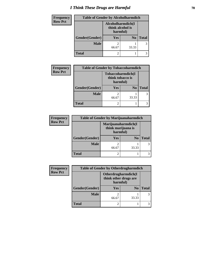# *I Think These Drugs are Harmful* **70**

| <b>Frequency</b> | <b>Table of Gender by Alcoholharmdich</b> |                                                   |                |              |
|------------------|-------------------------------------------|---------------------------------------------------|----------------|--------------|
| <b>Row Pct</b>   |                                           | Alcoholharmdich(I<br>think alcohol is<br>harmful) |                |              |
|                  | Gender(Gender)                            | <b>Yes</b>                                        | N <sub>0</sub> | <b>Total</b> |
|                  | <b>Male</b>                               | 66.67                                             | 33.33          |              |
|                  | <b>Total</b>                              |                                                   |                |              |

| <b>Frequency</b> | <b>Table of Gender by Tobaccoharmdich</b> |                                                   |                |              |
|------------------|-------------------------------------------|---------------------------------------------------|----------------|--------------|
| <b>Row Pct</b>   |                                           | Tobaccoharmdich(I<br>think tobacco is<br>harmful) |                |              |
|                  | Gender(Gender)                            | Yes                                               | N <sub>0</sub> | <b>Total</b> |
|                  | <b>Male</b>                               | 66.67                                             | 33.33          |              |
|                  | <b>Total</b>                              |                                                   |                |              |

| <b>Frequency</b> | <b>Table of Gender by Marijuanaharmdich</b> |                                                       |                |               |
|------------------|---------------------------------------------|-------------------------------------------------------|----------------|---------------|
| <b>Row Pct</b>   |                                             | Marijuanaharmdich(I<br>think marijuana is<br>harmful) |                |               |
|                  | Gender(Gender)                              | <b>Yes</b>                                            | N <sub>0</sub> | <b>Total</b>  |
|                  | <b>Male</b>                                 | ി<br>66.67                                            | 33.33          | $\mathcal{F}$ |
|                  | <b>Total</b>                                | 2                                                     |                |               |

| <b>Frequency</b> | <b>Table of Gender by Otherdrugharmdich</b> |                                                          |                |              |
|------------------|---------------------------------------------|----------------------------------------------------------|----------------|--------------|
| <b>Row Pct</b>   |                                             | Otherdrugharmdich(I<br>think other drugs are<br>harmful) |                |              |
|                  | Gender(Gender)                              | <b>Yes</b>                                               | N <sub>0</sub> | <b>Total</b> |
|                  | <b>Male</b>                                 | 66.67                                                    | 33.33          |              |
|                  | <b>Total</b>                                |                                                          |                |              |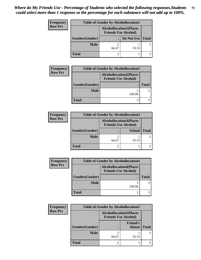| <b>Frequency</b> | <b>Table of Gender by Alcohollocation1</b> |                                                               |                    |  |
|------------------|--------------------------------------------|---------------------------------------------------------------|--------------------|--|
| <b>Row Pct</b>   |                                            | <b>Alcohollocation1(Places</b><br><b>Friends Use Alcohol)</b> |                    |  |
|                  | Gender(Gender)                             |                                                               | Do Not Use   Total |  |
|                  | <b>Male</b>                                | 66.67                                                         | 33.33              |  |
|                  | <b>Total</b>                               |                                                               |                    |  |

| <b>Frequency</b> |                | <b>Table of Gender by Alcohollocation2</b>                    |              |
|------------------|----------------|---------------------------------------------------------------|--------------|
| <b>Row Pct</b>   |                | <b>Alcohollocation2(Places</b><br><b>Friends Use Alcohol)</b> |              |
|                  | Gender(Gender) |                                                               | <b>Total</b> |
|                  | <b>Male</b>    | 100.00                                                        |              |
|                  | <b>Total</b>   |                                                               |              |

| <b>Frequency</b> | <b>Table of Gender by Alcohollocation3</b> |                                                               |               |              |
|------------------|--------------------------------------------|---------------------------------------------------------------|---------------|--------------|
| <b>Row Pct</b>   |                                            | <b>Alcohollocation3(Places</b><br><b>Friends Use Alcohol)</b> |               |              |
|                  | Gender(Gender)                             |                                                               | <b>School</b> | <b>Total</b> |
|                  | <b>Male</b>                                | 66.67                                                         | 33.33         |              |
|                  | <b>Total</b>                               |                                                               |               |              |

| <b>Frequency</b> | <b>Table of Gender by Alcohollocation4</b> |                                                               |  |
|------------------|--------------------------------------------|---------------------------------------------------------------|--|
| <b>Row Pct</b>   |                                            | <b>Alcohollocation4(Places</b><br><b>Friends Use Alcohol)</b> |  |
|                  | Gender(Gender)                             |                                                               |  |
|                  | <b>Male</b>                                | 100.00                                                        |  |
|                  | <b>Total</b>                               |                                                               |  |

| Frequency      | <b>Table of Gender by Alcohollocation5</b> |                                                               |                                 |              |
|----------------|--------------------------------------------|---------------------------------------------------------------|---------------------------------|--------------|
| <b>Row Pct</b> |                                            | <b>Alcohollocation5(Places</b><br><b>Friends Use Alcohol)</b> |                                 |              |
|                | <b>Gender(Gender)</b>                      |                                                               | <b>Friend's</b><br><b>House</b> | <b>Total</b> |
|                | <b>Male</b>                                | 66.67                                                         | 33.33                           |              |
|                | <b>Total</b>                               |                                                               |                                 |              |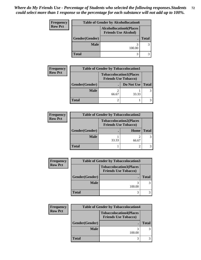| Frequency      | <b>Table of Gender by Alcohollocation6</b> |                                                               |              |
|----------------|--------------------------------------------|---------------------------------------------------------------|--------------|
| <b>Row Pct</b> |                                            | <b>Alcohollocation6(Places</b><br><b>Friends Use Alcohol)</b> |              |
| Gender(Gender) |                                            |                                                               | <b>Total</b> |
|                | <b>Male</b>                                | 100.00                                                        | 3            |
|                | <b>Total</b>                               | 3                                                             |              |

| <b>Frequency</b> | <b>Table of Gender by Tobaccolocation1</b> |                                                               |            |              |
|------------------|--------------------------------------------|---------------------------------------------------------------|------------|--------------|
| <b>Row Pct</b>   |                                            | <b>Tobaccolocation1(Places</b><br><b>Friends Use Tobacco)</b> |            |              |
|                  | Gender(Gender)                             |                                                               | Do Not Use | <b>Total</b> |
|                  | <b>Male</b>                                | 66.67                                                         | 33.33      |              |
|                  | Total                                      |                                                               |            |              |

| <b>Frequency</b> | <b>Table of Gender by Tobaccolocation2</b> |                                                               |       |              |
|------------------|--------------------------------------------|---------------------------------------------------------------|-------|--------------|
| <b>Row Pct</b>   |                                            | <b>Tobaccolocation2(Places</b><br><b>Friends Use Tobacco)</b> |       |              |
|                  | Gender(Gender)                             |                                                               | Home  | <b>Total</b> |
|                  | <b>Male</b>                                | 33.33                                                         | 66.67 |              |
|                  | <b>Total</b>                               |                                                               |       |              |

| <b>Frequency</b> | <b>Table of Gender by Tobaccolocation3</b> |                                                               |              |
|------------------|--------------------------------------------|---------------------------------------------------------------|--------------|
| <b>Row Pct</b>   |                                            | <b>Tobaccolocation3(Places</b><br><b>Friends Use Tobacco)</b> |              |
|                  | Gender(Gender)                             |                                                               | <b>Total</b> |
|                  | <b>Male</b>                                | 100.00                                                        |              |
|                  | <b>Total</b>                               | 3                                                             |              |

| Frequency      | <b>Table of Gender by Tobaccolocation4</b> |                                                               |              |
|----------------|--------------------------------------------|---------------------------------------------------------------|--------------|
| <b>Row Pct</b> |                                            | <b>Tobaccolocation4(Places</b><br><b>Friends Use Tobacco)</b> |              |
|                | Gender(Gender)                             |                                                               | <b>Total</b> |
|                | <b>Male</b>                                | 100.00                                                        |              |
|                | <b>Total</b>                               |                                                               |              |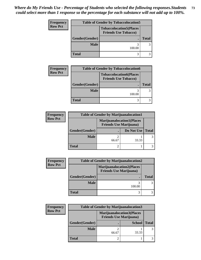| Frequency      | <b>Table of Gender by Tobaccolocation5</b> |                                                               |              |
|----------------|--------------------------------------------|---------------------------------------------------------------|--------------|
| <b>Row Pct</b> |                                            | <b>Tobaccolocation5(Places</b><br><b>Friends Use Tobacco)</b> |              |
|                | Gender(Gender)                             |                                                               | <b>Total</b> |
|                | <b>Male</b>                                | 100.00                                                        | 3            |
|                | <b>Total</b>                               |                                                               |              |

| <b>Frequency</b> | <b>Table of Gender by Tobaccolocation6</b> |                                                               |              |
|------------------|--------------------------------------------|---------------------------------------------------------------|--------------|
| <b>Row Pct</b>   |                                            | <b>Tobaccolocation6(Places</b><br><b>Friends Use Tobacco)</b> |              |
|                  | Gender(Gender)                             |                                                               | <b>Total</b> |
|                  | <b>Male</b>                                | 100.00                                                        |              |
|                  | Total                                      |                                                               |              |

| <b>Frequency</b> |                | <b>Table of Gender by Marijuanalocation1</b>                       |            |              |
|------------------|----------------|--------------------------------------------------------------------|------------|--------------|
| <b>Row Pct</b>   |                | <b>Marijuanalocation1(Places</b><br><b>Friends Use Marijuana</b> ) |            |              |
|                  | Gender(Gender) |                                                                    | Do Not Use | <b>Total</b> |
|                  | <b>Male</b>    | 66.67                                                              | 33.33      |              |
|                  | <b>Total</b>   |                                                                    |            |              |

| <b>Frequency</b> | <b>Table of Gender by Marijuanalocation2</b> |                                                                    |       |
|------------------|----------------------------------------------|--------------------------------------------------------------------|-------|
| <b>Row Pct</b>   |                                              | <b>Marijuanalocation2(Places</b><br><b>Friends Use Marijuana</b> ) |       |
| Gender(Gender)   |                                              | ×                                                                  | Total |
|                  | <b>Male</b>                                  | 100.00                                                             |       |
|                  | <b>Total</b>                                 |                                                                    |       |

| <b>Frequency</b> | <b>Table of Gender by Marijuanalocation3</b> |                                |                                  |              |  |
|------------------|----------------------------------------------|--------------------------------|----------------------------------|--------------|--|
| <b>Row Pct</b>   |                                              | <b>Friends Use Marijuana</b> ) | <b>Marijuanalocation3(Places</b> |              |  |
|                  | Gender(Gender)                               |                                | <b>School</b>                    | <b>Total</b> |  |
|                  | <b>Male</b>                                  | 66.67                          | 33.33                            | 3            |  |
|                  | <b>Total</b>                                 |                                |                                  |              |  |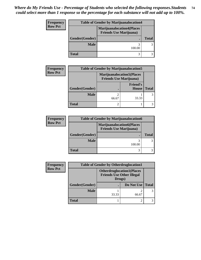| Frequency      | <b>Table of Gender by Marijuanalocation4</b> |                                                                     |              |
|----------------|----------------------------------------------|---------------------------------------------------------------------|--------------|
| <b>Row Pct</b> |                                              | <b>Marijuanalocation4(Places)</b><br><b>Friends Use Marijuana</b> ) |              |
|                | Gender(Gender)                               |                                                                     | <b>Total</b> |
|                | <b>Male</b>                                  | 100.00                                                              |              |
|                | <b>Total</b>                                 |                                                                     |              |

| <b>Frequency</b> | <b>Table of Gender by Marijuanalocation5</b> |                                |                                   |              |
|------------------|----------------------------------------------|--------------------------------|-----------------------------------|--------------|
| <b>Row Pct</b>   |                                              | <b>Friends Use Marijuana</b> ) | <b>Marijuanalocation5</b> (Places |              |
|                  | Gender(Gender)                               |                                | <b>Friend's</b><br><b>House</b>   | <b>Total</b> |
|                  | <b>Male</b>                                  | 66.67                          | 33.33                             |              |
|                  | <b>Total</b>                                 |                                |                                   |              |

| <b>Frequency</b> | <b>Table of Gender by Marijuanalocation6</b> |                                                                    |              |
|------------------|----------------------------------------------|--------------------------------------------------------------------|--------------|
| <b>Row Pct</b>   |                                              | <b>Marijuanalocation6(Places</b><br><b>Friends Use Marijuana</b> ) |              |
|                  | Gender(Gender)                               |                                                                    | <b>Total</b> |
|                  | <b>Male</b>                                  | 100.00                                                             |              |
|                  | <b>Total</b>                                 |                                                                    |              |

| <b>Frequency</b> | <b>Table of Gender by Otherdruglocation1</b> |                                                                                |            |              |  |
|------------------|----------------------------------------------|--------------------------------------------------------------------------------|------------|--------------|--|
| <b>Row Pct</b>   |                                              | <b>Otherdruglocation1(Places</b><br><b>Friends Use Other Illegal</b><br>Drugs) |            |              |  |
|                  | Gender(Gender)                               |                                                                                | Do Not Use | <b>Total</b> |  |
|                  | <b>Male</b>                                  | 33.33                                                                          | 66.67      |              |  |
|                  | <b>Total</b>                                 |                                                                                |            |              |  |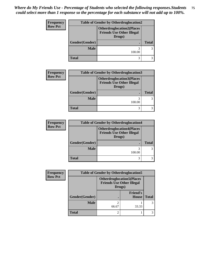| <b>Frequency</b> | <b>Table of Gender by Otherdruglocation2</b> |                                                                                |              |
|------------------|----------------------------------------------|--------------------------------------------------------------------------------|--------------|
| <b>Row Pct</b>   |                                              | <b>Otherdruglocation2(Places</b><br><b>Friends Use Other Illegal</b><br>Drugs) |              |
|                  | Gender(Gender)                               |                                                                                | <b>Total</b> |
|                  | <b>Male</b>                                  | 100.00                                                                         |              |
|                  | <b>Total</b>                                 | 3                                                                              |              |

| <b>Frequency</b> |                | <b>Table of Gender by Otherdruglocation3</b>                                   |              |  |
|------------------|----------------|--------------------------------------------------------------------------------|--------------|--|
| <b>Row Pct</b>   |                | <b>Otherdruglocation3(Places</b><br><b>Friends Use Other Illegal</b><br>Drugs) |              |  |
|                  | Gender(Gender) |                                                                                | <b>Total</b> |  |
|                  | <b>Male</b>    | 100.00                                                                         |              |  |
|                  | <b>Total</b>   | 3                                                                              |              |  |

| <b>Frequency</b> | <b>Table of Gender by Otherdruglocation4</b> |                                                                                |              |
|------------------|----------------------------------------------|--------------------------------------------------------------------------------|--------------|
| <b>Row Pct</b>   |                                              | <b>Otherdruglocation4(Places</b><br><b>Friends Use Other Illegal</b><br>Drugs) |              |
|                  | Gender(Gender)                               |                                                                                | <b>Total</b> |
|                  | <b>Male</b>                                  | 3<br>100.00                                                                    |              |
|                  | <b>Total</b>                                 |                                                                                |              |

| Frequency      | <b>Table of Gender by Otherdruglocation5</b> |                                            |                                  |              |
|----------------|----------------------------------------------|--------------------------------------------|----------------------------------|--------------|
| <b>Row Pct</b> |                                              | <b>Friends Use Other Illegal</b><br>Drugs) | <b>Otherdruglocation5(Places</b> |              |
|                | Gender(Gender)                               |                                            | <b>Friend's</b><br><b>House</b>  | <b>Total</b> |
|                | <b>Male</b>                                  | 66.67                                      | 33.33                            |              |
|                | Total                                        | ി                                          |                                  |              |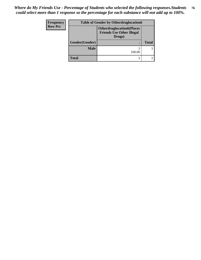| Frequency      |                | <b>Table of Gender by Otherdruglocation6</b>                                   |              |  |
|----------------|----------------|--------------------------------------------------------------------------------|--------------|--|
| <b>Row Pct</b> |                | <b>Otherdruglocation6(Places</b><br><b>Friends Use Other Illegal</b><br>Drugs) |              |  |
|                | Gender(Gender) |                                                                                | <b>Total</b> |  |
|                | <b>Male</b>    | 100.00                                                                         |              |  |
|                | <b>Total</b>   | 3                                                                              |              |  |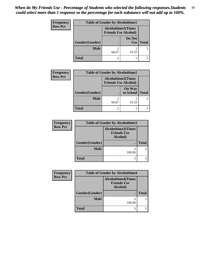| Frequency      | <b>Table of Gender by Alcoholtime1</b> |                                                          |                      |              |
|----------------|----------------------------------------|----------------------------------------------------------|----------------------|--------------|
| <b>Row Pct</b> |                                        | <b>Alcoholtime1(Times</b><br><b>Friends Use Alcohol)</b> |                      |              |
|                | Gender(Gender)                         | ٠                                                        | Do Not<br><b>Use</b> | <b>Total</b> |
|                | <b>Male</b>                            | 2<br>66.67                                               | 33.33                | 3            |
|                | <b>Total</b>                           | 2                                                        |                      |              |

| <b>Frequency</b> |                | <b>Table of Gender by Alcoholtime2</b>                   |                            |              |
|------------------|----------------|----------------------------------------------------------|----------------------------|--------------|
| <b>Row Pct</b>   |                | <b>Alcoholtime2(Times</b><br><b>Friends Use Alcohol)</b> |                            |              |
|                  | Gender(Gender) |                                                          | <b>On Way</b><br>to School | <b>Total</b> |
|                  | <b>Male</b>    | $\overline{c}$<br>66.67                                  | 33.33                      |              |
|                  | <b>Total</b>   | $\overline{2}$                                           |                            |              |

| <b>Frequency</b> | <b>Table of Gender by Alcoholtime3</b> |                                                             |              |  |
|------------------|----------------------------------------|-------------------------------------------------------------|--------------|--|
| <b>Row Pct</b>   |                                        | <b>Alcoholtime3(Times</b><br><b>Friends Use</b><br>Alcohol) |              |  |
|                  | <b>Gender</b> (Gender)                 |                                                             | <b>Total</b> |  |
|                  | <b>Male</b>                            | 3<br>100.00                                                 |              |  |
|                  | <b>Total</b>                           | 3                                                           |              |  |

| <b>Frequency</b> |                | <b>Table of Gender by Alcoholtime4</b>                      |              |  |
|------------------|----------------|-------------------------------------------------------------|--------------|--|
| <b>Row Pct</b>   |                | <b>Alcoholtime4(Times</b><br><b>Friends Use</b><br>Alcohol) |              |  |
|                  | Gender(Gender) |                                                             | <b>Total</b> |  |
|                  | <b>Male</b>    | 100.00                                                      |              |  |
|                  | <b>Total</b>   | 3                                                           |              |  |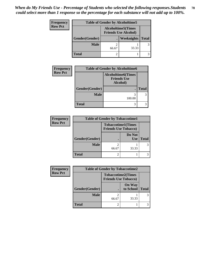| Frequency      |                | <b>Table of Gender by Alcoholtime5</b> |                                                          |              |
|----------------|----------------|----------------------------------------|----------------------------------------------------------|--------------|
| <b>Row Pct</b> |                |                                        | <b>Alcoholtime5(Times</b><br><b>Friends Use Alcohol)</b> |              |
|                | Gender(Gender) |                                        | <b>Weeknights</b>                                        | <b>Total</b> |
|                | <b>Male</b>    | 66.67                                  | 33.33                                                    |              |
|                | <b>Total</b>   |                                        |                                                          |              |

| <b>Frequency</b> |                | <b>Table of Gender by Alcoholtime6</b>                      |              |
|------------------|----------------|-------------------------------------------------------------|--------------|
| <b>Row Pct</b>   |                | <b>Alcoholtime6(Times</b><br><b>Friends Use</b><br>Alcohol) |              |
|                  | Gender(Gender) |                                                             | <b>Total</b> |
|                  | <b>Male</b>    | 3<br>100.00                                                 |              |
|                  | <b>Total</b>   | 3                                                           |              |

| <b>Frequency</b> | <b>Table of Gender by Tobaccotime1</b> |                             |                           |              |  |
|------------------|----------------------------------------|-----------------------------|---------------------------|--------------|--|
| <b>Row Pct</b>   |                                        | <b>Friends Use Tobacco)</b> | <b>Tobaccotime1(Times</b> |              |  |
|                  | Gender(Gender)                         |                             | Do Not<br><b>Use</b>      | <b>Total</b> |  |
|                  | <b>Male</b>                            | 66.67                       | 33.33                     | 3            |  |
|                  | <b>Total</b>                           |                             |                           |              |  |

| <b>Frequency</b> | <b>Table of Gender by Tobaccotime2</b> |                                                          |                            |              |
|------------------|----------------------------------------|----------------------------------------------------------|----------------------------|--------------|
| <b>Row Pct</b>   |                                        | <b>Tobaccotime2(Times</b><br><b>Friends Use Tobacco)</b> |                            |              |
|                  | Gender(Gender)                         |                                                          | <b>On Way</b><br>to School | <b>Total</b> |
|                  | <b>Male</b>                            | 2<br>66.67                                               | 33.33                      |              |
|                  | <b>Total</b>                           | $\overline{2}$                                           |                            |              |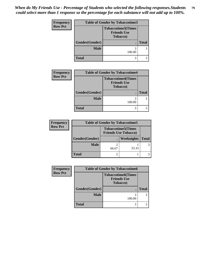*When do My Friends Use - Percentage of Students who selected the following responses.Students could select more than 1 response so the percentage for each substance will not add up to 100%.* **79**

| <b>Frequency</b> |                | <b>Table of Gender by Tobaccotime3</b>                              |              |  |
|------------------|----------------|---------------------------------------------------------------------|--------------|--|
| <b>Row Pct</b>   |                | <b>Tobaccotime3(Times</b><br><b>Friends Use</b><br><b>Tobacco</b> ) |              |  |
|                  | Gender(Gender) |                                                                     | <b>Total</b> |  |
|                  | <b>Male</b>    | 100.00                                                              | 3            |  |
|                  | <b>Total</b>   | 3                                                                   | 3            |  |

| <b>Frequency</b> | <b>Table of Gender by Tobaccotime4</b> |                                                                     |              |  |
|------------------|----------------------------------------|---------------------------------------------------------------------|--------------|--|
| <b>Row Pct</b>   |                                        | <b>Tobaccotime4(Times</b><br><b>Friends Use</b><br><b>Tobacco</b> ) |              |  |
|                  | Gender(Gender)                         |                                                                     | <b>Total</b> |  |
|                  | <b>Male</b>                            | 100.00                                                              |              |  |
|                  | <b>Total</b>                           |                                                                     |              |  |

| <b>Frequency</b> | <b>Table of Gender by Tobaccotime5</b> |       |                                                          |              |
|------------------|----------------------------------------|-------|----------------------------------------------------------|--------------|
| <b>Row Pct</b>   |                                        |       | <b>Tobaccotime5(Times</b><br><b>Friends Use Tobacco)</b> |              |
|                  | Gender(Gender)                         |       | Weeknights                                               | <b>Total</b> |
|                  | <b>Male</b>                            | 66.67 | 33.33                                                    |              |
|                  | <b>Total</b>                           |       |                                                          |              |

| <b>Frequency</b> | <b>Table of Gender by Tobaccotime6</b> |                                                                     |              |
|------------------|----------------------------------------|---------------------------------------------------------------------|--------------|
| <b>Row Pct</b>   |                                        | <b>Tobaccotime6(Times</b><br><b>Friends Use</b><br><b>Tobacco</b> ) |              |
|                  | Gender(Gender)                         |                                                                     | <b>Total</b> |
|                  | <b>Male</b>                            | 100.00                                                              |              |
|                  | <b>Total</b>                           | 3                                                                   |              |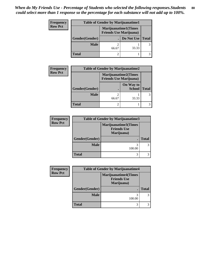| Frequency      | <b>Table of Gender by Marijuanatime1</b> |       |                                                               |              |
|----------------|------------------------------------------|-------|---------------------------------------------------------------|--------------|
| <b>Row Pct</b> |                                          |       | <b>Marijuanatime1(Times</b><br><b>Friends Use Marijuana</b> ) |              |
|                | Gender(Gender)                           |       | Do Not Use                                                    | <b>Total</b> |
|                | <b>Male</b>                              | 66.67 | 33.33                                                         | 3            |
|                | <b>Total</b>                             |       |                                                               |              |

| <b>Frequency</b> | <b>Table of Gender by Marijuanatime2</b> |                                                               |                            |              |  |
|------------------|------------------------------------------|---------------------------------------------------------------|----------------------------|--------------|--|
| <b>Row Pct</b>   |                                          | <b>Marijuanatime2(Times</b><br><b>Friends Use Marijuana</b> ) |                            |              |  |
|                  | Gender(Gender)                           |                                                               | On Way to<br><b>School</b> | <b>Total</b> |  |
|                  | <b>Male</b>                              | 66.67                                                         | 33.33                      |              |  |
|                  | <b>Total</b>                             | 2                                                             |                            |              |  |

| <b>Frequency</b> | <b>Table of Gender by Marijuanatime3</b> |                                                          |              |
|------------------|------------------------------------------|----------------------------------------------------------|--------------|
| <b>Row Pct</b>   |                                          | Marijuanatime3(Times<br><b>Friends Use</b><br>Marijuana) |              |
|                  | Gender(Gender)                           |                                                          | <b>Total</b> |
|                  | <b>Male</b>                              | 100.00                                                   |              |
|                  | <b>Total</b>                             |                                                          |              |

| <b>Frequency</b> | <b>Table of Gender by Marijuanatime4</b> |                                                                 |              |
|------------------|------------------------------------------|-----------------------------------------------------------------|--------------|
| <b>Row Pct</b>   |                                          | <b>Marijuanatime4(Times</b><br><b>Friends Use</b><br>Marijuana) |              |
|                  | Gender(Gender)                           |                                                                 | <b>Total</b> |
|                  | <b>Male</b>                              | 100.00                                                          |              |
|                  | <b>Total</b>                             | 3                                                               |              |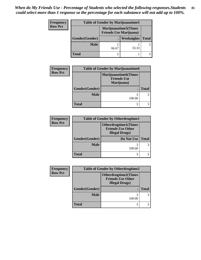| <b>Frequency</b> |                | <b>Table of Gender by Marijuanatime5</b> |                                                                |              |
|------------------|----------------|------------------------------------------|----------------------------------------------------------------|--------------|
| <b>Row Pct</b>   |                |                                          | <b>Marijuanatime5</b> (Times<br><b>Friends Use Marijuana</b> ) |              |
|                  | Gender(Gender) |                                          | Weeknights                                                     | <b>Total</b> |
|                  | <b>Male</b>    | 66.67                                    | 33.33                                                          | 3            |
|                  | <b>Total</b>   |                                          |                                                                |              |

| <b>Frequency</b> | <b>Table of Gender by Marijuanatime6</b> |                                                                 |              |
|------------------|------------------------------------------|-----------------------------------------------------------------|--------------|
| <b>Row Pct</b>   |                                          | <b>Marijuanatime6(Times</b><br><b>Friends Use</b><br>Marijuana) |              |
|                  | Gender(Gender)                           |                                                                 | <b>Total</b> |
|                  | <b>Male</b>                              | 100.00                                                          |              |
|                  | <b>Total</b>                             |                                                                 |              |

| <b>Frequency</b> | <b>Table of Gender by Otherdrugtime1</b> |                                                                                   |              |  |
|------------------|------------------------------------------|-----------------------------------------------------------------------------------|--------------|--|
| <b>Row Pct</b>   |                                          | <b>Otherdrugtime1(Times</b><br><b>Friends Use Other</b><br><b>Illegal Drugs</b> ) |              |  |
|                  | Gender(Gender)                           | Do Not Use                                                                        | <b>Total</b> |  |
|                  | <b>Male</b>                              | 100.00                                                                            |              |  |
|                  | <b>Total</b>                             |                                                                                   |              |  |

| Frequency      | <b>Table of Gender by Otherdrugtime2</b> |                                                                                  |              |
|----------------|------------------------------------------|----------------------------------------------------------------------------------|--------------|
| <b>Row Pct</b> |                                          | <b>Otherdrugtime2(Times</b><br><b>Friends Use Other</b><br><b>Illegal Drugs)</b> |              |
|                | Gender(Gender)                           |                                                                                  | <b>Total</b> |
|                | <b>Male</b>                              | 100.00                                                                           |              |
|                | <b>Total</b>                             |                                                                                  |              |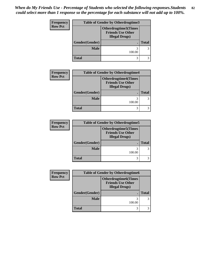| Frequency      | <b>Table of Gender by Otherdrugtime3</b> |                                                                                  |              |
|----------------|------------------------------------------|----------------------------------------------------------------------------------|--------------|
| <b>Row Pct</b> |                                          | <b>Otherdrugtime3(Times</b><br><b>Friends Use Other</b><br><b>Illegal Drugs)</b> |              |
|                | Gender(Gender)                           |                                                                                  | <b>Total</b> |
|                | <b>Male</b>                              | 100.00                                                                           | 3            |
|                | <b>Total</b>                             | 3                                                                                |              |

| <b>Frequency</b> | <b>Table of Gender by Otherdrugtime4</b> |                                                                                   |              |
|------------------|------------------------------------------|-----------------------------------------------------------------------------------|--------------|
| <b>Row Pct</b>   |                                          | <b>Otherdrugtime4(Times</b><br><b>Friends Use Other</b><br><b>Illegal Drugs</b> ) |              |
|                  | Gender(Gender)                           |                                                                                   | <b>Total</b> |
|                  | <b>Male</b>                              | 100.00                                                                            |              |
|                  | <b>Total</b>                             |                                                                                   |              |

| <b>Frequency</b> |                | <b>Table of Gender by Otherdrugtime5</b>                                          |              |
|------------------|----------------|-----------------------------------------------------------------------------------|--------------|
| <b>Row Pct</b>   |                | <b>Otherdrugtime5</b> (Times<br><b>Friends Use Other</b><br><b>Illegal Drugs)</b> |              |
|                  | Gender(Gender) |                                                                                   | <b>Total</b> |
|                  | <b>Male</b>    | 100.00                                                                            |              |
|                  | <b>Total</b>   |                                                                                   |              |

| Frequency      | <b>Table of Gender by Otherdrugtime6</b> |                                                                                  |              |  |
|----------------|------------------------------------------|----------------------------------------------------------------------------------|--------------|--|
| <b>Row Pct</b> |                                          | <b>Otherdrugtime6(Times</b><br><b>Friends Use Other</b><br><b>Illegal Drugs)</b> |              |  |
|                | Gender(Gender)                           |                                                                                  | <b>Total</b> |  |
|                | <b>Male</b>                              | 3<br>100.00                                                                      |              |  |
|                | <b>Total</b>                             | 3                                                                                |              |  |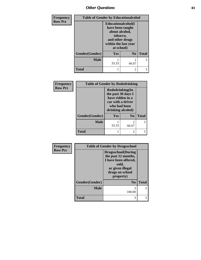# *Other Questions* **83**

| Frequency      | <b>Table of Gender by Educationalcohol</b> |                                                                                                                               |                |              |
|----------------|--------------------------------------------|-------------------------------------------------------------------------------------------------------------------------------|----------------|--------------|
| <b>Row Pct</b> |                                            | Educationalcohol(I<br>have been taught<br>about alcohol,<br>tobacco,<br>and other drugs<br>within the last year<br>at school) |                |              |
|                | Gender(Gender)                             | Yes                                                                                                                           | N <sub>0</sub> | <b>Total</b> |
|                | <b>Male</b>                                | 33.33                                                                                                                         | 2<br>66.67     | 3            |
|                | <b>Total</b>                               |                                                                                                                               | $\mathfrak{D}$ | 3            |

| Frequency<br><b>Table of Gender by Rodedrinking</b><br><b>Row Pct</b><br>Rodedrinking(In         |              |
|--------------------------------------------------------------------------------------------------|--------------|
|                                                                                                  |              |
| the past 30 days I<br>have ridden in a<br>car with a driver<br>who had been<br>drinking alcohol) |              |
| <b>Yes</b><br>N <sub>0</sub><br><b>Gender</b> (Gender)                                           | <b>Total</b> |
| <b>Male</b><br>$\mathfrak{D}$<br>33.33<br>66.67                                                  | 3            |
| <b>Total</b><br>2                                                                                | 3            |

| Frequency      | <b>Table of Gender by Drugsschool</b> |                                                                                                                                        |              |
|----------------|---------------------------------------|----------------------------------------------------------------------------------------------------------------------------------------|--------------|
| <b>Row Pct</b> |                                       | <b>Drugsschool</b> (During<br>the past 12 months,<br>I have been offered,<br>sold,<br>or given illegal<br>drugs on school<br>property) |              |
|                | Gender(Gender)                        | $\bf N_0$                                                                                                                              | <b>Total</b> |
|                | <b>Male</b>                           | 3<br>100.00                                                                                                                            | 3            |
|                | <b>Total</b>                          | 3                                                                                                                                      | 3            |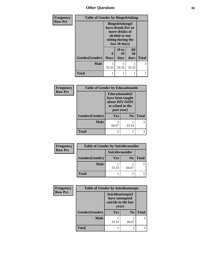*Other Questions* **84**

| Frequency      | <b>Table of Gender by Bingedrinking</b> |                                                                                                                          |             |           |              |
|----------------|-----------------------------------------|--------------------------------------------------------------------------------------------------------------------------|-------------|-----------|--------------|
| <b>Row Pct</b> |                                         | <b>Bingedrinking</b> (I<br>have drunk five or<br>more drinks of<br>alcohol at one<br>sitting during the<br>last 30 days) |             |           |              |
|                |                                         | $\mathbf 0$                                                                                                              | 10 to<br>19 | All<br>30 |              |
|                | Gender(Gender)                          | <b>Days</b>                                                                                                              | days        | days      | <b>Total</b> |
|                | <b>Male</b>                             | 33.33                                                                                                                    | 33.33       | 33.33     | 3            |
|                | <b>Total</b>                            | 1                                                                                                                        |             |           | 3            |

| Frequency      | <b>Table of Gender by Educationaids</b> |                                                                                                 |                |              |
|----------------|-----------------------------------------|-------------------------------------------------------------------------------------------------|----------------|--------------|
| <b>Row Pct</b> |                                         | <b>Educationaids</b> (I<br>have been taught<br>about HIV/AIDS<br>at school in the<br>past year) |                |              |
|                | Gender(Gender)                          | Yes                                                                                             | N <sub>0</sub> | <b>Total</b> |
|                | <b>Male</b>                             | 66.67                                                                                           | 33.33          | 3            |
|                | <b>Total</b>                            | $\mathfrak{D}$                                                                                  |                |              |

| Frequency      | <b>Table of Gender by Suicideconsider</b> |                 |                |              |
|----------------|-------------------------------------------|-----------------|----------------|--------------|
| <b>Row Pct</b> |                                           | Suicideconsider |                |              |
|                | Gender(Gender)                            | Yes             | N <sub>0</sub> | <b>Total</b> |
|                | <b>Male</b>                               | 33.33           | 66.67          |              |
|                | <b>Total</b>                              |                 | 2              |              |

| Frequency      | <b>Table of Gender by Suicideattempt</b> |                                                                    |                |              |
|----------------|------------------------------------------|--------------------------------------------------------------------|----------------|--------------|
| <b>Row Pct</b> |                                          | Suicideattempt(I<br>have attempted<br>suicide in the last<br>year) |                |              |
|                | Gender(Gender)                           | <b>Yes</b>                                                         | N <sub>0</sub> | <b>Total</b> |
|                | <b>Male</b>                              | 33.33                                                              | 2<br>66.67     | 3            |
|                | <b>Total</b>                             |                                                                    | 2              |              |